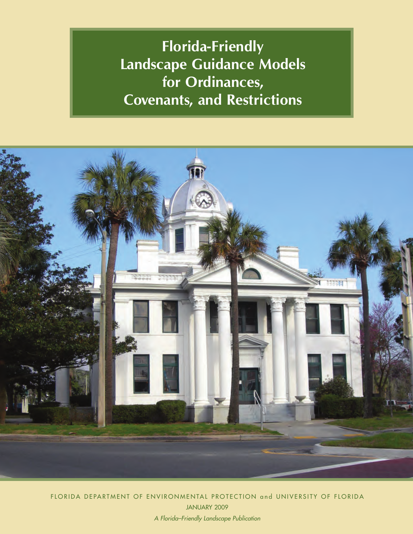**Florida-Friendly Landscape Guidance Models for Ordinances, Covenants, and Restrictions**



FLORIDA DEPARTMENT OF ENVIRONMENTAL PROTECTION and UNIVERSITY OF FLORIDA JANUARY 2009 *A Florida–Friendly Landscape Publication*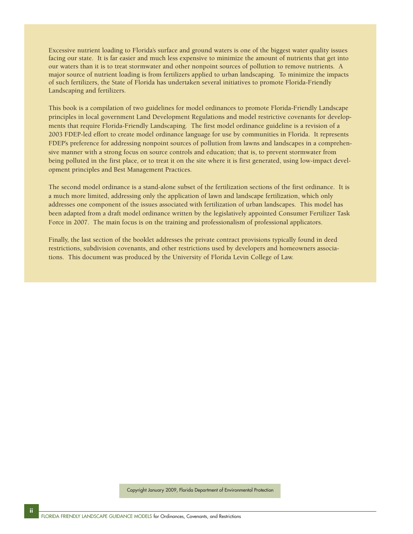Excessive nutrient loading to Florida's surface and ground waters is one of the biggest water quality issues facing our state. It is far easier and much less expensive to minimize the amount of nutrients that get into our waters than it is to treat stormwater and other nonpoint sources of pollution to remove nutrients. A major source of nutrient loading is from fertilizers applied to urban landscaping. To minimize the impacts of such fertilizers, the State of Florida has undertaken several initiatives to promote Florida-Friendly Landscaping and fertilizers.

This book is a compilation of two guidelines for model ordinances to promote Florida-Friendly Landscape principles in local government Land Development Regulations and model restrictive covenants for developments that require Florida-Friendly Landscaping. The first model ordinance guideline is a revision of a 2003 FDEP-led effort to create model ordinance language for use by communities in Florida. It represents FDEP's preference for addressing nonpoint sources of pollution from lawns and landscapes in a comprehensive manner with a strong focus on source controls and education; that is, to prevent stormwater from being polluted in the first place, or to treat it on the site where it is first generated, using low-impact development principles and Best Management Practices.

The second model ordinance is a stand-alone subset of the fertilization sections of the first ordinance. It is a much more limited, addressing only the application of lawn and landscape fertilization, which only addresses one component of the issues associated with fertilization of urban landscapes. This model has been adapted from a draft model ordinance written by the legislatively appointed Consumer Fertilizer Task Force in 2007. The main focus is on the training and professionalism of professional applicators.

Finally, the last section of the booklet addresses the private contract provisions typically found in deed restrictions, subdivision covenants, and other restrictions used by developers and homeowners associations. This document was produced by the University of Florida Levin College of Law.

Copyright January 2009, Florida Department of Environmental Protection

**ii**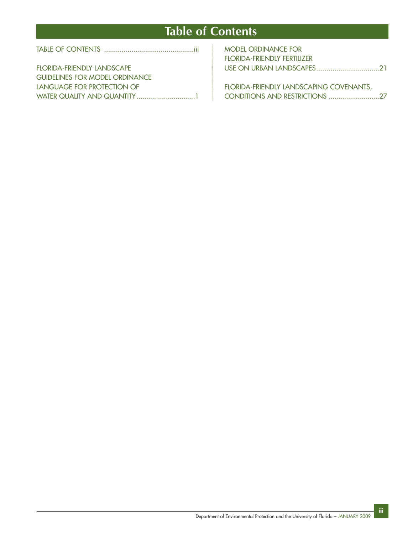# **Table of Contents**

|--|--|

| <b>FLORIDA-FRIENDLY LANDSCAPE</b>     |  |
|---------------------------------------|--|
| <b>GUIDELINES FOR MODEL ORDINANCE</b> |  |
| LANGUAGE FOR PROTECTION OF            |  |
|                                       |  |

| <b>MODEL ORDINANCE FOR</b>  |  |
|-----------------------------|--|
| FLORIDA-FRIENDLY FERTILIZER |  |
|                             |  |

FLORIDA-FRIENDLY LANDSCAPING COVENANTS, CONDITIONS AND RESTRICTIONS ..........................27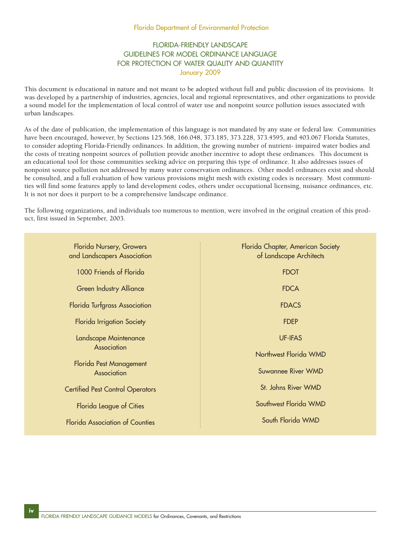## Florida Department of Environmental Protection

# FLORIDA-FRIENDLY LANDSCAPE GUIDELINES FOR MODEL ORDINANCE LANGUAGE FOR PROTECTION OF WATER QUALITY AND QUANTITY January 2009

This document is educational in nature and not meant to be adopted without full and public discussion of its provisions. It was developed by a partnership of industries, agencies, local and regional representatives, and other organizations to provide a sound model for the implementation of local control of water use and nonpoint source pollution issues associated with urban landscapes.

As of the date of publication, the implementation of this language is not mandated by any state or federal law. Communities have been encouraged, however, by Sections 125.568, 166.048, 373.185, 373.228, 373.4595, and 403.067 Florida Statutes, to consider adopting Florida-Friendly ordinances. In addition, the growing number of nutrient- impaired water bodies and the costs of treating nonpoint sources of pollution provide another incentive to adopt these ordinances. This document is an educational tool for those communities seeking advice on preparing this type of ordinance. It also addresses issues of nonpoint source pollution not addressed by many water conservation ordinances. Other model ordinances exist and should be consulted, and a full evaluation of how various provisions might mesh with existing codes is necessary. Most communities will find some features apply to land development codes, others under occupational licensing, nuisance ordinances, etc. It is not nor does it purport to be a comprehensive landscape ordinance.

The following organizations, and individuals too numerous to mention, were involved in the original creation of this product, first issued in September, 2003.

| Florida Nursery, Growers<br>and Landscapers Association | Florida Chapter, American Society<br>of Landscape Architects |
|---------------------------------------------------------|--------------------------------------------------------------|
| 1000 Friends of Florida                                 | <b>FDOT</b>                                                  |
| <b>Green Industry Alliance</b>                          | <b>FDCA</b>                                                  |
| Florida Turfgrass Association                           | <b>FDACS</b>                                                 |
| Florida Irrigation Society                              | <b>FDEP</b>                                                  |
| Landscape Maintenance                                   | <b>UF-IFAS</b>                                               |
| Association                                             | Northwest Florida WMD                                        |
| Florida Pest Management<br>Association                  | <b>Suwannee River WMD</b>                                    |
| <b>Certified Pest Control Operators</b>                 | St. Johns River WMD                                          |
| Florida League of Cities                                | Southwest Florida WMD                                        |
| <b>Florida Association of Counties</b>                  | South Florida WMD                                            |
|                                                         |                                                              |

**iv**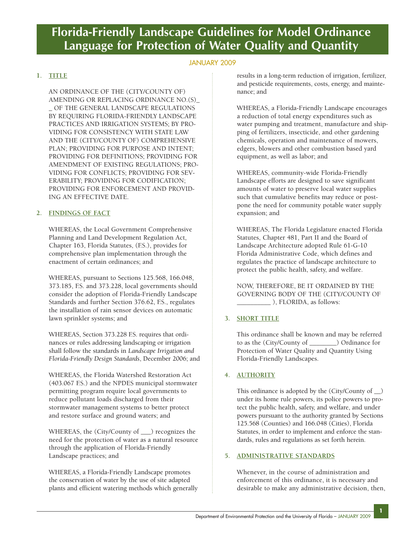# **Florida-Friendly Landscape Guidelines for Model Ordinance Language for Protection of Water Quality and Quantity**

# JANUARY 2009

# **1. TITLE**

AN ORDINANCE OF THE (CITY/COUNTY OF) AMENDING OR REPLACING ORDINANCE NO.(S)\_ \_ OF THE GENERAL LANDSCAPE REGULATIONS BY REQUIRING FLORIDA-FRIENDLY LANDSCAPE PRACTICES AND IRRIGATION SYSTEMS; BY PRO-VIDING FOR CONSISTENCY WITH STATE LAW AND THE (CITY/COUNTY OF) COMPREHENSIVE PLAN; PROVIDING FOR PURPOSE AND INTENT; PROVIDING FOR DEFINITIONS; PROVIDING FOR AMENDMENT OF EXISTING REGULATIONS; PRO-VIDING FOR CONFLICTS; PROVIDING FOR SEV-ERABILITY; PROVIDING FOR CODIFICATION; PROVIDING FOR ENFORCEMENT AND PROVID-ING AN EFFECTIVE DATE.

# **2. FINDINGS OF FACT**

WHEREAS, the Local Government Comprehensive Planning and Land Development Regulation Act, Chapter 163, Florida Statutes, (F.S.), provides for comprehensive plan implementation through the enactment of certain ordinances; and

WHEREAS, pursuant to Sections 125.568, 166.048, 373.185, F.S. and 373.228, local governments should consider the adoption of Florida-Friendly Landscape Standards and further Section 376.62, F.S., regulates the installation of rain sensor devices on automatic lawn sprinkler systems; and

WHEREAS, Section 373.228 F.S. requires that ordinances or rules addressing landscaping or irrigation shall follow the standards in *Landscape Irrigation and Florida-Friendly Design Standards*, December 2006; and

WHEREAS, the Florida Watershed Restoration Act (403.067 F.S.) and the NPDES municipal stormwater permitting program require local governments to reduce pollutant loads discharged from their stormwater management systems to better protect and restore surface and ground waters; and

WHEREAS, the (City/County of \_\_\_) recognizes the need for the protection of water as a natural resource through the application of Florida-Friendly Landscape practices; and

WHEREAS, a Florida-Friendly Landscape promotes the conservation of water by the use of site adapted plants and efficient watering methods which generally results in a long-term reduction of irrigation, fertilizer, and pesticide requirements, costs, energy, and maintenance; and

WHEREAS, a Florida-Friendly Landscape encourages a reduction of total energy expenditures such as water pumping and treatment, manufacture and shipping of fertilizers, insecticide, and other gardening chemicals, operation and maintenance of mowers, edgers, blowers and other combustion based yard equipment, as well as labor; and

WHEREAS, community-wide Florida-Friendly Landscape efforts are designed to save significant amounts of water to preserve local water supplies such that cumulative benefits may reduce or postpone the need for community potable water supply expansion; and

WHEREAS, The Florida Legislature enacted Florida Statutes, Chapter 481, Part II and the Board of Landscape Architecture adopted Rule 61-G-10 Florida Administrative Code, which defines and regulates the practice of landscape architecture to protect the public health, safety, and welfare.

NOW, THEREFORE, BE IT ORDAINED BY THE GOVERNING BODY OF THE (CITY/COUNTY OF \_\_\_\_\_\_\_\_\_\_ ), FLORIDA, as follows:

# **3. SHORT TITLE**

This ordinance shall be known and may be referred to as the (City/County of \_\_\_\_\_\_\_\_) Ordinance for Protection of Water Quality and Quantity Using Florida-Friendly Landscapes.

# **4. AUTHORITY**

This ordinance is adopted by the (City/County of \_\_) under its home rule powers, its police powers to protect the public health, safety, and welfare, and under powers pursuant to the authority granted by Sections 125.568 (Counties) and 166.048 (Cities), Florida Statutes, in order to implement and enforce the standards, rules and regulations as set forth herein.

## **5. ADMINISTRATIVE STANDARDS**

Whenever, in the course of administration and enforcement of this ordinance, it is necessary and desirable to make any administrative decision, then,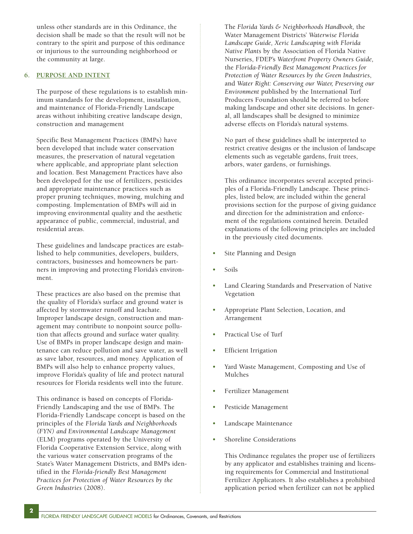unless other standards are in this Ordinance, the decision shall be made so that the result will not be contrary to the spirit and purpose of this ordinance or injurious to the surrounding neighborhood or the community at large.

### **6. PURPOSE AND INTENT**

The purpose of these regulations is to establish minimum standards for the development, installation, and maintenance of Florida-Friendly Landscape areas without inhibiting creative landscape design, construction and management

Specific Best Management Practices (BMPs) have been developed that include water conservation measures, the preservation of natural vegetation where applicable, and appropriate plant selection and location. Best Management Practices have also been developed for the use of fertilizers, pesticides and appropriate maintenance practices such as proper pruning techniques, mowing, mulching and composting. Implementation of BMPs will aid in improving environmental quality and the aesthetic appearance of public, commercial, industrial, and residential areas.

These guidelines and landscape practices are established to help communities, developers, builders, contractors, businesses and homeowners be partners in improving and protecting Florida's environment.

These practices are also based on the premise that the quality of Florida's surface and ground water is affected by stormwater runoff and leachate. Improper landscape design, construction and management may contribute to nonpoint source pollution that affects ground and surface water quality. Use of BMPs in proper landscape design and maintenance can reduce pollution and save water, as well as save labor, resources, and money. Application of BMPs will also help to enhance property values, improve Florida's quality of life and protect natural resources for Florida residents well into the future.

This ordinance is based on concepts of Florida-Friendly Landscaping and the use of BMPs. The Florida-Friendly Landscape concept is based on the principles of the *Florida Yards and Neighborhoods (FYN) and Environmental Landscape Management* (ELM) programs operated by the University of Florida Cooperative Extension Service, along with the various water conservation programs of the State's Water Management Districts, and BMPs identified in the *Florida-friendly Best Management Practices for Protection of Water Resources by the Green Industries* (2008).

**2**

The *Florida Yards & Neighborhoods Handbook,* the Water Management Districts' *Waterwise Florida Landscape Guide, Xeric Landscaping with Florida Native Plants* by the Association of Florida Native Nurseries, FDEP's *Waterfront Property Owners Guide,* the *Florida-Friendly Best Management Practices for Protection of Water Resources by the Green Industries*, and *Water Right: Conserving our Water, Preserving our Environment* published by the International Turf Producers Foundation should be referred to before making landscape and other site decisions. In general, all landscapes shall be designed to minimize adverse effects on Florida's natural systems.

No part of these guidelines shall be interpreted to restrict creative designs or the inclusion of landscape elements such as vegetable gardens, fruit trees, arbors, water gardens, or furnishings.

This ordinance incorporates several accepted principles of a Florida-Friendly Landscape. These principles, listed below, are included within the general provisions section for the purpose of giving guidance and direction for the administration and enforcement of the regulations contained herein. Detailed explanations of the following principles are included in the previously cited documents.

- Site Planning and Design
- $S<sub>o</sub>ile$
- Land Clearing Standards and Preservation of Native Vegetation
- Appropriate Plant Selection, Location, and Arrangement
- Practical Use of Turf
- Efficient Irrigation
- Yard Waste Management, Composting and Use of Mulches
- Fertilizer Management
- Pesticide Management
- Landscape Maintenance
- Shoreline Considerations

This Ordinance regulates the proper use of fertilizers by any applicator and establishes training and licensing requirements for Commercial and Institutional Fertilizer Applicators. It also establishes a prohibited application period when fertilizer can not be applied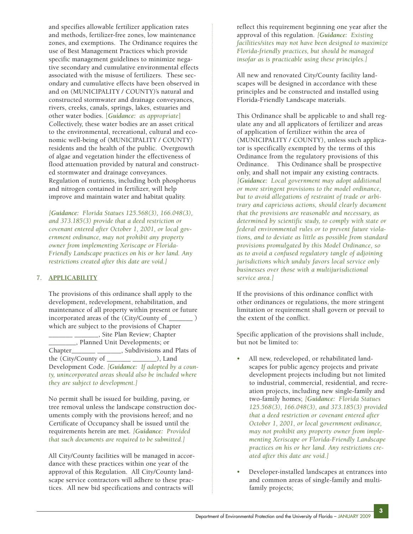and specifies allowable fertilizer application rates and methods, fertilizer-free zones, low maintenance zones, and exemptions. The Ordinance requires the use of Best Management Practices which provide specific management guidelines to minimize negative secondary and cumulative environmental effects associated with the misuse of fertilizers. These secondary and cumulative effects have been observed in and on (MUNICIPALITY / COUNTY)'s natural and constructed stormwater and drainage conveyances, rivers, creeks, canals, springs, lakes, estuaries and other water bodies. [*Guidance: as appropriate*] Collectively, these water bodies are an asset critical to the environmental, recreational, cultural and economic well-being of (MUNICIPALITY / COUNTY) residents and the health of the public. Overgrowth of algae and vegetation hinder the effectiveness of flood attenuation provided by natural and constructed stormwater and drainage conveyances. Regulation of nutrients, including both phosphorus and nitrogen contained in fertilizer, will help improve and maintain water and habitat quality.

*[Guidance: Florida Statues 125.568(3), 166.048(3), and 373.185(3) provide that a deed restriction or covenant entered after October 1, 2001, or local government ordinance, may not prohibit any property owner from implementing Xeriscape or Florida-Friendly Landscape practices on his or her land. Any restrictions created after this date are void.]*

## **7. APPLICABILITY**

The provisions of this ordinance shall apply to the development, redevelopment, rehabilitation, and maintenance of all property within present or future incorporated areas of the (City/County of \_\_\_\_\_\_\_ ) which are subject to the provisions of Chapter \_\_\_\_\_\_\_ \_\_\_\_\_\_\_, Site Plan Review; Chapter \_\_\_\_\_\_\_\_, Planned Unit Developments; or Chapter\_\_\_\_\_\_\_\_ \_\_\_\_\_\_\_, Subdivisions and Plats of the (City/County of \_\_\_\_\_\_\_ \_\_\_\_\_\_\_), Land Development Code. *[Guidance: If adopted by a county, unincorporated areas should also be included where they are subject to development.]*

No permit shall be issued for building, paving, or tree removal unless the landscape construction documents comply with the provisions hereof; and no Certificate of Occupancy shall be issued until the requirements herein are met. *[Guidance: Provided that such documents are required to be submitted.]*

All City/County facilities will be managed in accordance with these practices within one year of the approval of this Regulation. All City/County landscape service contractors will adhere to these practices. All new bid specifications and contracts will

reflect this requirement beginning one year after the approval of this regulation. *[Guidance: Existing facilities/sites may not have been designed to maximize Florida-friendly practices, but should be managed insofar as is practicable using these principles.]*

All new and renovated City/County facility landscapes will be designed in accordance with these principles and be constructed and installed using Florida-Friendly Landscape materials.

This Ordinance shall be applicable to and shall regulate any and all applicators of fertilizer and areas of application of fertilizer within the area of (MUNICIPALITY / COUNTY), unless such applicator is specifically exempted by the terms of this Ordinance from the regulatory provisions of this Ordinance. This Ordinance shall be prospective only, and shall not impair any existing contracts. *[Guidance: Local government may adopt additional or more stringent provisions to the model ordinance, but to avoid allegations of restraint of trade or arbitrary and capricious actions, should clearly document that the provisions are reasonable and necessary, as determined by scientific study, to comply with state or federal environmental rules or to prevent future violations, and to deviate as little as possible from standard provisions promulgated by this Model Ordinance, so as to avoid a confused regulatory tangle of adjoining jurisdictions which unduly favors local service only businesses over those with a multijurisdictional service area.]* 

If the provisions of this ordinance conflict with other ordinances or regulations, the more stringent limitation or requirement shall govern or prevail to the extent of the conflict.

Specific application of the provisions shall include, but not be limited to:

- All new, redeveloped, or rehabilitated landscapes for public agency projects and private development projects including but not limited to industrial, commercial, residential, and recreation projects, including new single-family and two-family homes; *[Guidance: Florida Statues 125.568(3), 166.048(3), and 373.185(3) provided that a deed restriction or covenant entered after October 1, 2001, or local government ordinance, may not prohibit any property owner from implementing Xeriscape or Florida-Friendly Landscape practices on his or her land. Any restrictions created after this date are void.]*
- Developer-installed landscapes at entrances into and common areas of single-family and multifamily projects;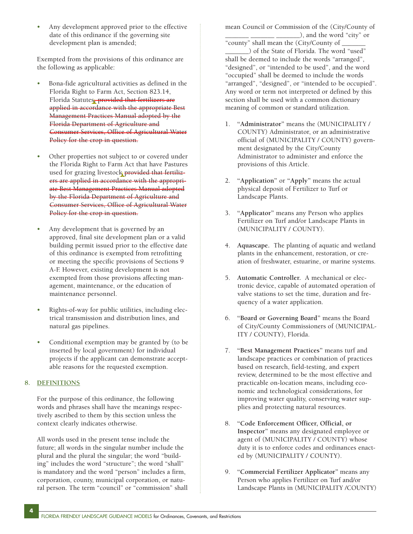• Any development approved prior to the effective date of this ordinance if the governing site development plan is amended;

Exempted from the provisions of this ordinance are the following as applicable:

- Bona-fide agricultural activities as defined in the Florida Right to Farm Act, Section 823.14, Florida Statutes, provided that fertilizers are applied in accordance with the appropriate Best Management Practices Manual adopted by the Florida Department of Agriculture and Consumer Services, Office of Agricultural Water Policy for the crop in question.
- Other properties not subject to or covered under the Florida Right to Farm Act that have Pastures used for grazing livestock provided that fertilizers are applied in accordance with the appropriate Best Management Practices Manual adopted by the Florida Department of Agriculture and Consumer Services, Office of Agricultural Water Policy for the crop in question.
- Any development that is governed by an approved, final site development plan or a valid building permit issued prior to the effective date of this ordinance is exempted from retrofitting or meeting the specific provisions of Sections 9 A-F. However, existing development is not exempted from those provisions affecting management, maintenance, or the education of maintenance personnel.
- Rights-of-way for public utilities, including electrical transmission and distribution lines, and natural gas pipelines.
- Conditional exemption may be granted by (to be inserted by local government) for individual projects if the applicant can demonstrate acceptable reasons for the requested exemption.

# **8. DEFINITIONS**

**4**

For the purpose of this ordinance, the following words and phrases shall have the meanings respectively ascribed to them by this section unless the context clearly indicates otherwise.

All words used in the present tense include the future; all words in the singular number include the plural and the plural the singular; the word "building" includes the word "structure"; the word "shall" is mandatory and the word "person" includes a firm, corporation, county, municipal corporation, or natural person. The term "council" or "commission" shall mean Council or Commission of the (City/County of \_ \_\_\_\_\_\_\_ \_\_\_\_\_\_\_\_\_), and the word "city" or

"county" shall mean the (City/County of \_\_\_\_\_\_\_ \_\_\_\_\_\_\_) of the State of Florida. The word "used" shall be deemed to include the words "arranged", "designed", or "intended to be used", and the word "occupied" shall be deemed to include the words "arranged", "designed", or "intended to be occupied". Any word or term not interpreted or defined by this section shall be used with a common dictionary meaning of common or standard utilization.

- 1. **"Administrator"** means the (MUNICIPALITY / COUNTY) Administrator, or an administrative official of (MUNICIPALITY / COUNTY) government designated by the City/County Administrator to administer and enforce the provisions of this Article.
- 2. **"Application"** or **"Apply"** means the actual physical deposit of Fertilizer to Turf or Landscape Plants.
- 3. **"Applicator"** means any Person who applies Fertilizer on Turf and/or Landscape Plants in (MUNICIPALITY / COUNTY).
- 4. **Aquascape.** The planting of aquatic and wetland plants in the enhancement, restoration, or creation of freshwater, estuarine, or marine systems.
- 5. **Automatic Controller.** A mechanical or electronic device, capable of automated operation of valve stations to set the time, duration and frequency of a water application.
- 6. **"Board or Governing Board"** means the Board of City/County Commissioners of (MUNICIPAL-ITY / COUNTY), Florida.
- 7. **"Best Management Practices"** means turf and landscape practices or combination of practices based on research, field-testing, and expert review, determined to be the most effective and practicable on-location means, including economic and technological considerations, for improving water quality, conserving water supplies and protecting natural resources.
- 8. **"Code Enforcement Officer, Official, or Inspector"** means any designated employee or agent of (MUNICIPALITY / COUNTY) whose duty it is to enforce codes and ordinances enacted by (MUNICIPALITY / COUNTY).
- 9. **"Commercial Fertilizer Applicator"** means any Person who applies Fertilizer on Turf and/or Landscape Plants in (MUNICIPALITY /COUNTY)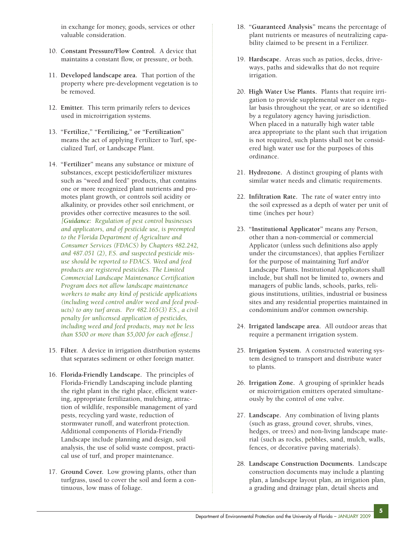in exchange for money, goods, services or other valuable consideration.

- 10. **Constant Pressure/Flow Control.** A device that maintains a constant flow, or pressure, or both.
- 11. **Developed landscape area.** That portion of the property where pre-development vegetation is to be removed.
- 12. **Emitter.** This term primarily refers to devices used in microirrigation systems.
- 13. **"Fertilize," "Fertilizing," or "Fertilization"** means the act of applying Fertilizer to Turf, specialized Turf, or Landscape Plant.
- 14. **"Fertilizer"** means any substance or mixture of substances, except pesticide/fertilizer mixtures such as "weed and feed" products, that contains one or more recognized plant nutrients and promotes plant growth, or controls soil acidity or alkalinity, or provides other soil enrichment, or provides other corrective measures to the soil. *[Guidance: Regulation of pest control businesses and applicators, and of pesticide use, is preempted to the Florida Department of Agriculture and Consumer Services (FDACS) by Chapters 482.242, and 487.051 (2), F.S. and suspected pesticide misuse should be reported to FDACS. Weed and feed products are registered pesticides. The Limited Commercial Landscape Maintenance Certification Program does not allow landscape maintenance workers to make any kind of pesticide applications (including weed control and/or weed and feed products) to any turf areas. Per 482.165(3) F.S., a civil penalty for unlicensed application of pesticides, including weed and feed products, may not be less than \$500 or more than \$5,000 for each offense.]*
- 15. **Filter.** A device in irrigation distribution systems that separates sediment or other foreign matter.
- 16. **Florida-Friendly Landscape.** The principles of Florida-Friendly Landscaping include planting the right plant in the right place, efficient watering, appropriate fertilization, mulching, attraction of wildlife, responsible management of yard pests, recycling yard waste, reduction of stormwater runoff, and waterfront protection. Additional components of Florida-Friendly Landscape include planning and design, soil analysis, the use of solid waste compost, practical use of turf, and proper maintenance.
- 17. **Ground Cover.** Low growing plants, other than turfgrass, used to cover the soil and form a continuous, low mass of foliage.
- 18. **"Guaranteed Analysis"** means the percentage of plant nutrients or measures of neutralizing capability claimed to be present in a Fertilizer.
- 19. **Hardscape.** Areas such as patios, decks, driveways, paths and sidewalks that do not require irrigation.
- 20. **High Water Use Plants.** Plants that require irrigation to provide supplemental water on a regular basis throughout the year, or are so identified by a regulatory agency having jurisdiction. When placed in a naturally high water table area appropriate to the plant such that irrigation is not required, such plants shall not be considered high water use for the purposes of this ordinance.
- 21. **Hydrozone.** A distinct grouping of plants with similar water needs and climatic requirements.
- 22. **Infiltration Rate.** The rate of water entry into the soil expressed as a depth of water per unit of time (inches per hour)
- 23. **"Institutional Applicator"** means any Person, other than a non-commercial or commercial Applicator (unless such definitions also apply under the circumstances), that applies Fertilizer for the purpose of maintaining Turf and/or Landscape Plants. Institutional Applicators shall include, but shall not be limited to, owners and managers of public lands, schools, parks, religious institutions, utilities, industrial or business sites and any residential properties maintained in condominium and/or common ownership.
- 24. **Irrigated landscape area.** All outdoor areas that require a permanent irrigation system.
- 25. **Irrigation System.** A constructed watering system designed to transport and distribute water to plants.
- 26. **Irrigation Zone.** A grouping of sprinkler heads or microirrigation emitters operated simultaneously by the control of one valve.
- 27. **Landscape.** Any combination of living plants (such as grass, ground cover, shrubs, vines, hedges, or trees) and non-living landscape material (such as rocks, pebbles, sand, mulch, walls, fences, or decorative paving materials).
- 28. **Landscape Construction Documents.** Landscape construction documents may include a planting plan, a landscape layout plan, an irrigation plan, a grading and drainage plan, detail sheets and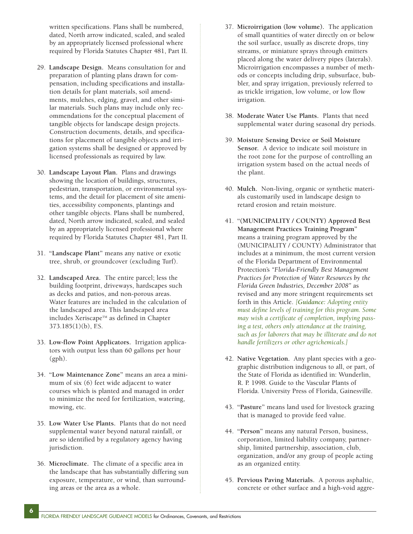written specifications. Plans shall be numbered, dated, North arrow indicated, scaled, and sealed by an appropriately licensed professional where required by Florida Statutes Chapter 481, Part II.

- 29. **Landscape Design.** Means consultation for and preparation of planting plans drawn for compensation, including specifications and installation details for plant materials, soil amendments, mulches, edging, gravel, and other similar materials. Such plans may include only recommendations for the conceptual placement of tangible objects for landscape design projects. Construction documents, details, and specifications for placement of tangible objects and irrigation systems shall be designed or approved by licensed professionals as required by law.
- 30. **Landscape Layout Plan.** Plans and drawings showing the location of buildings, structures, pedestrian, transportation, or environmental systems, and the detail for placement of site amenities, accessibility components, plantings and other tangible objects. Plans shall be numbered, dated, North arrow indicated, scaled, and sealed by an appropriately licensed professional where required by Florida Statutes Chapter 481, Part II.
- 31. **"Landscape Plant"** means any native or exotic tree, shrub, or groundcover (excluding Turf).
- 32. **Landscaped Area.** The entire parcel; less the building footprint, driveways, hardscapes such as decks and patios, and non-porous areas. Water features are included in the calculation of the landscaped area. This landscaped area includes Xeriscape™ as defined in Chapter 373.185(1)(b), F.S.
- 33. **Low-flow Point Applicators.** Irrigation applicators with output less than 60 gallons per hour (gph).
- 34. **"Low Maintenance Zone"** means an area a minimum of six (6) feet wide adjacent to water courses which is planted and managed in order to minimize the need for fertilization, watering, mowing, etc.
- 35. **Low Water Use Plants.** Plants that do not need supplemental water beyond natural rainfall, or are so identified by a regulatory agency having jurisdiction.
- 36. **Microclimate.** The climate of a specific area in the landscape that has substantially differing sun exposure, temperature, or wind, than surrounding areas or the area as a whole.
- 37. **Microirrigation (low volume).** The application of small quantities of water directly on or below the soil surface, usually as discrete drops, tiny streams, or miniature sprays through emitters placed along the water delivery pipes (laterals). Microirrigation encompasses a number of methods or concepts including drip, subsurface, bubbler, and spray irrigation, previously referred to as trickle irrigation, low volume, or low flow irrigation.
- 38. **Moderate Water Use Plants.** Plants that need supplemental water during seasonal dry periods.
- 39. **Moisture Sensing Device or Soil Moisture Sensor.** A device to indicate soil moisture in the root zone for the purpose of controlling an irrigation system based on the actual needs of the plant.
- 40. **Mulch.** Non-living, organic or synthetic materials customarily used in landscape design to retard erosion and retain moisture.
- 41. **"(MUNICIPALITY / COUNTY) Approved Best Management Practices Training Program"** means a training program approved by the (MUNICIPALITY / COUNTY) Administrator that includes at a minimum, the most current version of the Florida Department of Environmental Protection's *"Florida-Friendly Best Management Practices for Protection of Water Resources by the Florida Green Industries, December 2008"* as revised and any more stringent requirements set forth in this Article. *[Guidance: Adopting entity must define levels of training for this program. Some may wish a certificate of completion, implying passing a test, others only attendance at the training, such as for laborers that may be illiterate and do not handle fertilizers or other agrichemicals.]*
- 42. **Native Vegetation.** Any plant species with a geographic distribution indigenous to all, or part, of the State of Florida as identified in: Wunderlin, R. P. 1998. Guide to the Vascular Plants of Florida. University Press of Florida, Gainesville.
- 43. **"Pasture"** means land used for livestock grazing that is managed to provide feed value.
- 44. **"Person"** means any natural Person, business, corporation, limited liability company, partnership, limited partnership, association, club, organization, and/or any group of people acting as an organized entity.
- 45. **Pervious Paving Materials.** A porous asphaltic, concrete or other surface and a high-void aggre-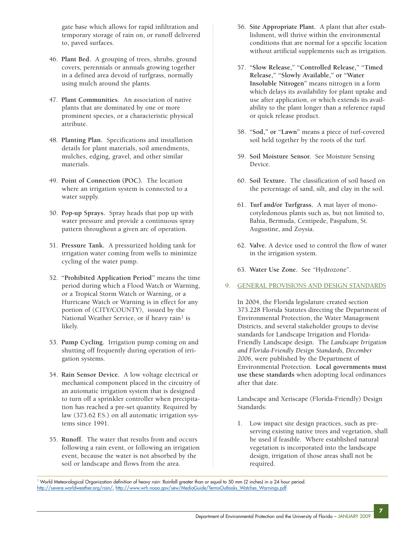gate base which allows for rapid infiltration and temporary storage of rain on, or runoff delivered to, paved surfaces.

- 46. **Plant Bed.** A grouping of trees, shrubs, ground covers, perennials or annuals growing together in a defined area devoid of turfgrass, normally using mulch around the plants.
- 47. **Plant Communities.** An association of native plants that are dominated by one or more prominent species, or a characteristic physical attribute.
- 48. **Planting Plan.** Specifications and installation details for plant materials, soil amendments, mulches, edging, gravel, and other similar materials.
- 49. **Point of Connection (POC).** The location where an irrigation system is connected to a water supply.
- 50. **Pop-up Sprays.** Spray heads that pop up with water pressure and provide a continuous spray pattern throughout a given arc of operation.
- 51. **Pressure Tank.** A pressurized holding tank for irrigation water coming from wells to minimize cycling of the water pump.
- 52. **"Prohibited Application Period"** means the time period during which a Flood Watch or Warning, or a Tropical Storm Watch or Warning, or a Hurricane Watch or Warning is in effect for any portion of (CITY/COUNTY), issued by the National Weather Service, or if heavy rain<sup>1</sup> is likely.
- 53. **Pump Cycling.** Irrigation pump coming on and shutting off frequently during operation of irrigation systems.
- 54. **Rain Sensor Device.** A low voltage electrical or mechanical component placed in the circuitry of an automatic irrigation system that is designed to turn off a sprinkler controller when precipitation has reached a pre-set quantity. Required by law (373.62 F.S.) on all automatic irrigation systems since 1991.
- 55. **Runoff.** The water that results from and occurs following a rain event, or following an irrigation event, because the water is not absorbed by the soil or landscape and flows from the area.
- 56. **Site Appropriate Plant.** A plant that after establishment, will thrive within the environmental conditions that are normal for a specific location without artificial supplements such as irrigation.
- 57. **"Slow Release," "Controlled Release," "Timed Release," "Slowly Available," or "Water Insoluble Nitrogen"** means nitrogen in a form which delays its availability for plant uptake and use after application, or which extends its availability to the plant longer than a reference rapid or quick release product.
- 58. **"Sod," or "Lawn"** means a piece of turf-covered soil held together by the roots of the turf.
- 59. **Soil Moisture Sensor.** See Moisture Sensing Device.
- 60. **Soil Texture.** The classification of soil based on the percentage of sand, silt, and clay in the soil.
- 61. **Turf and/or Turfgrass.** A mat layer of monocotyledonous plants such as, but not limited to, Bahia, Bermuda, Centipede, Paspalum, St. Augustine, and Zoysia.
- 62. **Valve.** A device used to control the flow of water in the irrigation system.
- 63. **Water Use Zone.** See "Hydrozone".
- 9. GENERAL PROVISIONS AND DESIGN STANDARDS

In 2004, the Florida legislature created section 373.228 Florida Statutes directing the Department of Environmental Protection, the Water Management Districts, and several stakeholder groups to devise standards for Landscape Irrigation and Florida-Friendly Landscape design. The *Landscape Irrigation and Florida-Friendly Design Standards, December 2006*, were published by the Department of Environmental Protection. **Local governments must use these standards** when adopting local ordinances after that date.

Landscape and Xeriscape (Florida-Friendly) Design Standards:

1. Low impact site design practices, such as preserving existing native trees and vegetation, shall be used if feasible. Where established natural vegetation is incorporated into the landscape design, irrigation of those areas shall not be required.

<sup>1</sup> World Meteorological Organization definition of heavy rain: Rainfall greater than or equal to 50 mm (2 inches) in a 24 hour period. [http://severe.worldweather.org/rain/,](http://severe.worldweather.org/rain/) [http://www.wrh.noaa.gov/sew/MediaGuide/TermsOutlooks\\_Watches\\_Warnings.pdf.](http://severe.worldweather.org/rain/)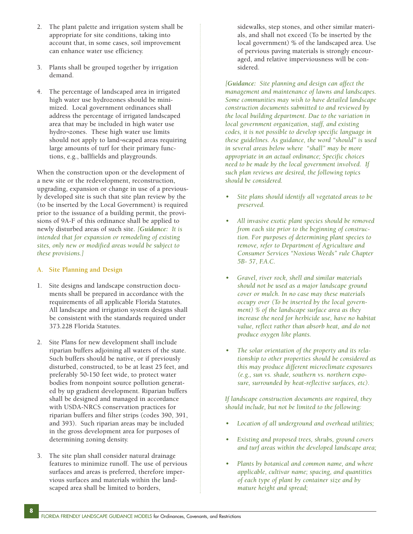- 2. The plant palette and irrigation system shall be appropriate for site conditions, taking into account that, in some cases, soil improvement can enhance water use efficiency.
- 3. Plants shall be grouped together by irrigation demand.
- 4. The percentage of landscaped area in irrigated high water use hydrozones should be minimized. Local government ordinances shall address the percentage of irrigated landscaped area that may be included in high water use hydro¬zones. These high water use limits should not apply to land¬scaped areas requiring large amounts of turf for their primary functions, e.g., ballfields and playgrounds.

When the construction upon or the development of a new site or the redevelopment, reconstruction, upgrading, expansion or change in use of a previously developed site is such that site plan review by the (to be inserted by the Local Government) is required prior to the issuance of a building permit, the provisions of 9A-F of this ordinance shall be applied to newly disturbed areas of such site. *[Guidance: It is intended that for expansion or remodeling of existing sites, only new or modified areas would be subject to these provisions.]*

## **A. Site Planning and Design**

- 1. Site designs and landscape construction documents shall be prepared in accordance with the requirements of all applicable Florida Statutes. All landscape and irrigation system designs shall be consistent with the standards required under 373.228 Florida Statutes.
- 2. Site Plans for new development shall include riparian buffers adjoining all waters of the state. Such buffers should be native, or if previously disturbed, constructed, to be at least 25 feet, and preferably 50-150 feet wide, to protect water bodies from nonpoint source pollution generated by up gradient development. Riparian buffers shall be designed and managed in accordance with USDA-NRCS conservation practices for riparian buffers and filter strips (codes 390, 391, and 393). Such riparian areas may be included in the gross development area for purposes of determining zoning density.
- 3. The site plan shall consider natural drainage features to minimize runoff. The use of pervious surfaces and areas is preferred, therefore impervious surfaces and materials within the landscaped area shall be limited to borders,

**8**

sidewalks, step stones, and other similar materials, and shall not exceed (To be inserted by the local government) % of the landscaped area. Use of pervious paving materials is strongly encouraged, and relative imperviousness will be considered.

*[Guidance: Site planning and design can affect the management and maintenance of lawns and landscapes. Some communities may wish to have detailed landscape construction documents submitted to and reviewed by the local building department. Due to the variation in local government organization, staff, and existing codes, it is not possible to develop specific language in these guidelines. As guidance, the word "should" is used in several areas below where "shall" may be more appropriate in an actual ordinance; Specific choices need to be made by the local government involved. If such plan reviews are desired, the following topics should be considered.* 

- *Site plans should identify all vegetated areas to be preserved.*
- *All invasive exotic plant species should be removed from each site prior to the beginning of construction. For purposes of determining plant species to remove, refer to Department of Agriculture and Consumer Services "Noxious Weeds" rule Chapter 5B- 57, F.A.C.*
- *Gravel, river rock, shell and similar materials should not be used as a major landscape ground cover or mulch. In no case may these materials occupy over (To be inserted by the local government) % of the landscape surface area as they increase the need for herbicide use, have no habitat value, reflect rather than absorb heat, and do not produce oxygen like plants.*
- *• The solar orientation of the property and its relationship to other properties should be considered as this may produce different microclimate exposures (e.g., sun vs. shade, southern vs. northern exposure, surrounded by heat-reflective surfaces, etc).*

*If landscape construction documents are required, they should include, but not be limited to the following:*

- *Location of all underground and overhead utilities;*
- *Existing and proposed trees, shrubs, ground covers and turf areas within the developed landscape area;*
- *Plants by botanical and common name, and where applicable, cultivar name; spacing, and quantities of each type of plant by container size and by mature height and spread;*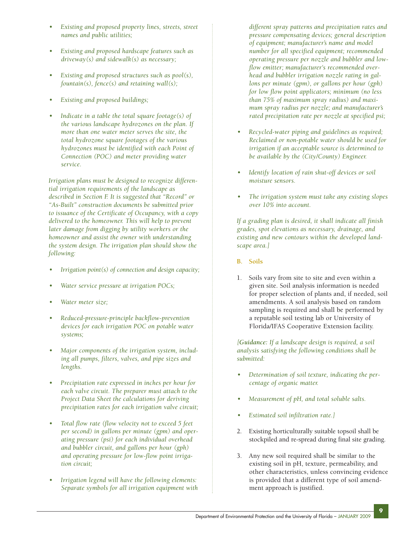- *Existing and proposed property lines, streets, street names and public utilities;*
- *• Existing and proposed hardscape features such as driveway(s) and sidewalk(s) as necessary;*
- *Existing and proposed structures such as pool(s), fountain(s), fence(s) and retaining wall(s);*
- *Existing and proposed buildings;*
- *Indicate in a table the total square footage(s) of the various landscape hydrozones on the plan. If more than one water meter serves the site, the total hydrozone square footages of the various hydrozones must be identified with each Point of Connection (POC) and meter providing water service.*

*Irrigation plans must be designed to recognize differential irrigation requirements of the landscape as described in Section F. It is suggested that "Record" or "As-Built" construction documents be submitted prior to issuance of the Certificate of Occupancy, with a copy delivered to the homeowner. This will help to prevent later damage from digging by utility workers or the homeowner and assist the owner with understanding the system design. The irrigation plan should show the following:*

- *Irrigation point(s) of connection and design capacity;*
- *Water service pressure at irrigation POCs;*
- *Water meter size;*
- *Reduced-pressure-principle backflow-prevention devices for each irrigation POC on potable water systems;*
- *• Major components of the irrigation system, including all pumps, filters, valves, and pipe sizes and lengths.*
- *• Precipitation rate expressed in inches per hour for each valve circuit. The preparer must attach to the Project Data Sheet the calculations for deriving precipitation rates for each irrigation valve circuit;*
- *Total flow rate (flow velocity not to exceed 5 feet per second) in gallons per minute (gpm) and operating pressure (psi) for each individual overhead and bubbler circuit, and gallons per hour (gph) and operating pressure for low-flow point irrigation circuit;*
- *• Irrigation legend will have the following elements: Separate symbols for all irrigation equipment with*

*different spray patterns and precipitation rates and pressure compensating devices; general description of equipment; manufacturer's name and model number for all specified equipment; recommended operating pressure per nozzle and bubbler and lowflow emitter; manufacturer's recommended overhead and bubbler irrigation nozzle rating in gallons per minute (gpm), or gallons per hour (gph) for low flow point applicators; minimum (no less than 75% of maximum spray radius) and maximum spray radius per nozzle; and manufacturer's rated precipitation rate per nozzle at specified psi;*

- *Recycled-water piping and guidelines as required; Reclaimed or non-potable water should be used for irrigation if an acceptable source is determined to be available by the (City/County) Engineer.*
- *Identify location of rain shut-off devices or soil moisture sensors.*
- *The irrigation system must take any existing slopes over 10% into account.*

*If a grading plan is desired, it shall indicate all finish grades, spot elevations as necessary, drainage, and existing and new contours within the developed landscape area.]*

- **B. Soils**
- 1. Soils vary from site to site and even within a given site. Soil analysis information is needed for proper selection of plants and, if needed, soil amendments. A soil analysis based on random sampling is required and shall be performed by a reputable soil testing lab or University of Florida/IFAS Cooperative Extension facility.

*[Guidance: If a landscape design is required, a soil analysis satisfying the following conditions shall be submitted:*

- *• Determination of soil texture, indicating the percentage of organic matter.*
- *• Measurement of pH, and total soluble salts.*
- *Estimated soil infiltration rate.]*
- 2. Existing horticulturally suitable topsoil shall be stockpiled and re-spread during final site grading.
- 3. Any new soil required shall be similar to the existing soil in pH, texture, permeability, and other characteristics, unless convincing evidence is provided that a different type of soil amendment approach is justified.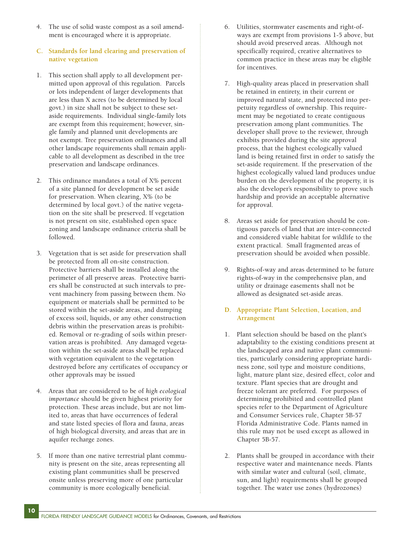- 4. The use of solid waste compost as a soil amendment is encouraged where it is appropriate.
- **C. Standards for land clearing and preservation of native vegetation**
- 1. This section shall apply to all development permitted upon approval of this regulation. Parcels or lots independent of larger developments that are less than X acres (to be determined by local govt.) in size shall not be subject to these setaside requirements. Individual single-family lots are exempt from this requirement; however, single family and planned unit developments are not exempt. Tree preservation ordinances and all other landscape requirements shall remain applicable to all development as described in the tree preservation and landscape ordinances.
- 2. This ordinance mandates a total of X% percent of a site planned for development be set aside for preservation. When clearing, X% (to be determined by local govt.) of the native vegetation on the site shall be preserved. If vegetation is not present on site, established open space zoning and landscape ordinance criteria shall be followed.
- 3. Vegetation that is set aside for preservation shall be protected from all on-site construction. Protective barriers shall be installed along the perimeter of all preserve areas. Protective barriers shall be constructed at such intervals to prevent machinery from passing between them. No equipment or materials shall be permitted to be stored within the set-aside areas, and dumping of excess soil, liquids, or any other construction debris within the preservation areas is prohibited. Removal or re-grading of soils within preservation areas is prohibited. Any damaged vegetation within the set-aside areas shall be replaced with vegetation equivalent to the vegetation destroyed before any certificates of occupancy or other approvals may be issued
- 4. Areas that are considered to be of *high ecological importance* should be given highest priority for protection. These areas include, but are not limited to, areas that have occurrences of federal and state listed species of flora and fauna, areas of high biological diversity, and areas that are in aquifer recharge zones.
- 5. If more than one native terrestrial plant community is present on the site, areas representing all existing plant communities shall be preserved onsite unless preserving more of one particular community is more ecologically beneficial.

**10**

- 6. Utilities, stormwater easements and right-ofways are exempt from provisions 1-5 above, but should avoid preserved areas. Although not specifically required, creative alternatives to common practice in these areas may be eligible for incentives.
- 7. High-quality areas placed in preservation shall be retained in entirety, in their current or improved natural state, and protected into perpetuity regardless of ownership. This requirement may be negotiated to create contiguous preservation among plant communities. The developer shall prove to the reviewer, through exhibits provided during the site approval process, that the highest ecologically valued land is being retained first in order to satisfy the set-aside requirement. If the preservation of the highest ecologically valued land produces undue burden on the development of the property, it is also the developer's responsibility to prove such hardship and provide an acceptable alternative for approval.
- 8. Areas set aside for preservation should be contiguous parcels of land that are inter-connected and considered viable habitat for wildlife to the extent practical. Small fragmented areas of preservation should be avoided when possible.
- 9. Rights-of-way and areas determined to be future rights-of-way in the comprehensive plan, and utility or drainage easements shall not be allowed as designated set-aside areas.

## **D. Appropriate Plant Selection, Location, and Arrangement**

- 1. Plant selection should be based on the plant's adaptability to the existing conditions present at the landscaped area and native plant communities, particularly considering appropriate hardiness zone, soil type and moisture conditions, light, mature plant size, desired effect, color and texture. Plant species that are drought and freeze tolerant are preferred. For purposes of determining prohibited and controlled plant species refer to the Department of Agriculture and Consumer Services rule, Chapter 5B-57 Florida Administrative Code. Plants named in this rule may not be used except as allowed in Chapter 5B-57.
- 2. Plants shall be grouped in accordance with their respective water and maintenance needs. Plants with similar water and cultural (soil, climate, sun, and light) requirements shall be grouped together. The water use zones (hydrozones)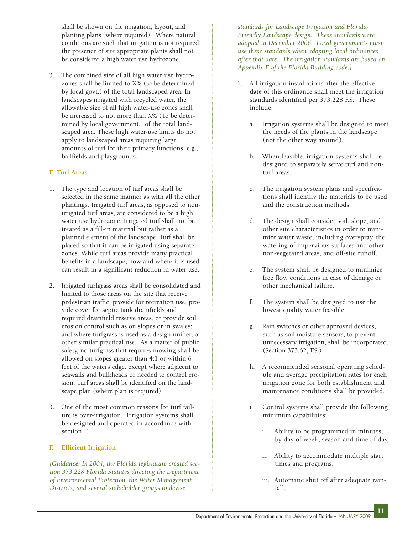shall be shown on the irrigation, layout, and planting plans (where required). Where natural conditions are such that irrigation is not required, the presence of site appropriate plants shall not be considered a high water use hydrozone.

3. The combined size of all high water use hydrozones shall be limited to X% (to be determined by local govt.) of the total landscaped area. In landscapes irrigated with recycled water, the allowable size of all high water-use zones shall be increased to not more than X% (To be determined by local government.) of the total landscaped area. These high water-use limits do not apply to landscaped areas requiring large amounts of turf for their primary functions, e.g., ballfields and playgrounds.

# **E. Turf Areas**

- 1. The type and location of turf areas shall be selected in the same manner as with all the other plantings. Irrigated turf areas, as opposed to nonirrigated turf areas, are considered to be a high water use hydrozone. Irrigated turf shall not be treated as a fill-in material but rather as a planned element of the landscape. Turf shall be placed so that it can be irrigated using separate zones. While turf areas provide many practical benefits in a landscape, how and where it is used can result in a significant reduction in water use.
- 2. Irrigated turfgrass areas shall be consolidated and limited to those areas on the site that receive pedestrian traffic, provide for recreation use, provide cover for septic tank drainfields and required drainfield reserve areas, or provide soil erosion control such as on slopes or in swales; and where turfgrass is used as a design unifier, or other similar practical use. As a matter of public safety, no turfgrass that requires mowing shall be allowed on slopes greater than 4:1 or within 6 feet of the waters edge, except where adjacent to seawalls and bulkheads or needed to control erosion. Turf areas shall be identified on the landscape plan (where plan is required).
- 3. One of the most common reasons for turf failure is over-irrigation. Irrigation systems shall be designed and operated in accordance with section F.

# **F. Efficient Irrigation**

*[Guidance: In 2004, the Florida legislature created section 373.228 Florida Statutes directing the Department of Environmental Protection, the Water Management Districts, and several stakeholder groups to devise* 

*standards for Landscape Irrigation and Florida-Friendly Landscape design. These standards were adopted in December 2006. Local governments must use these standards when adopting local ordinances after that date. The irrigation standards are based on Appendix F of the Florida Building code.]*

- 1. All irrigation installations after the effective date of this ordinance shall meet the irrigation standards identified per 373.228 F.S. These include:
	- a. Irrigation systems shall be designed to meet the needs of the plants in the landscape (not the other way around).
	- b. When feasible, irrigation systems shall be designed to separately serve turf and nonturf areas.
	- c. The irrigation system plans and specifications shall identify the materials to be used and the construction methods.
	- d. The design shall consider soil, slope, and other site characteristics in order to minimize water waste, including overspray, the watering of impervious surfaces and other non-vegetated areas, and off-site runoff.
	- e. The system shall be designed to minimize free flow conditions in case of damage or other mechanical failure.
	- f. The system shall be designed to use the lowest quality water feasible.
	- g. Rain switches or other approved devices, such as soil moisture sensors, to prevent unnecessary irrigation, shall be incorporated. (Section 373.62, F.S.)
	- h. A recommended seasonal operating schedule and average precipitation rates for each irrigation zone for both establishment and maintenance conditions shall be provided.
	- i. Control systems shall provide the following minimum capabilities:
		- i. Ability to be programmed in minutes, by day of week, season and time of day,
		- ii. Ability to accommodate multiple start times and programs,
		- iii. Automatic shut off after adequate rainfall,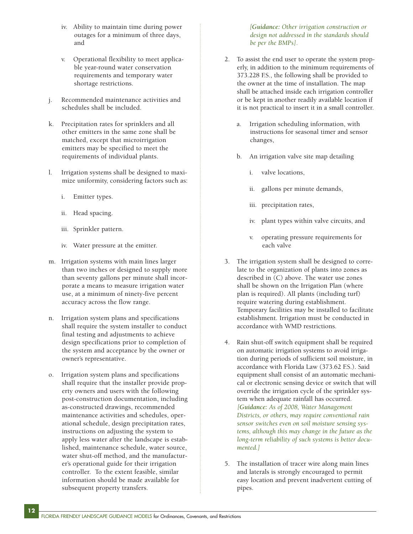- iv. Ability to maintain time during power outages for a minimum of three days, and
- v. Operational flexibility to meet applicable year-round water conservation requirements and temporary water shortage restrictions.
- j. Recommended maintenance activities and schedules shall be included.
- k. Precipitation rates for sprinklers and all other emitters in the same zone shall be matched, except that microirrigation emitters may be specified to meet the requirements of individual plants.
- l. Irrigation systems shall be designed to maximize uniformity, considering factors such as:
	- i. Emitter types.
	- ii. Head spacing.
	- iii. Sprinkler pattern.
	- iv. Water pressure at the emitter.
- m. Irrigation systems with main lines larger than two inches or designed to supply more than seventy gallons per minute shall incorporate a means to measure irrigation water use, at a minimum of ninety-five percent accuracy across the flow range.
- n. Irrigation system plans and specifications shall require the system installer to conduct final testing and adjustments to achieve design specifications prior to completion of the system and acceptance by the owner or owner's representative.
- o. Irrigation system plans and specifications shall require that the installer provide property owners and users with the following post-construction documentation, including as-constructed drawings, recommended maintenance activities and schedules, operational schedule, design precipitation rates, instructions on adjusting the system to apply less water after the landscape is established, maintenance schedule, water source, water shut-off method, and the manufacturer's operational guide for their irrigation controller. To the extent feasible, similar information should be made available for subsequent property transfers.

**12**

*[Guidance: Other irrigation construction or design not addressed in the standards should be per the BMPs].*

- 2. To assist the end user to operate the system properly, in addition to the minimum requirements of 373.228 F.S., the following shall be provided to the owner at the time of installation. The map shall be attached inside each irrigation controller or be kept in another readily available location if it is not practical to insert it in a small controller.
	- a. Irrigation scheduling information, with instructions for seasonal timer and sensor changes,
	- b. An irrigation valve site map detailing
		- i. valve locations,
		- ii. gallons per minute demands,
		- iii. precipitation rates,
		- iv. plant types within valve circuits, and
		- v. operating pressure requirements for each valve
- 3. The irrigation system shall be designed to correlate to the organization of plants into zones as described in (C) above. The water use zones shall be shown on the Irrigation Plan (where plan is required). All plants (including turf) require watering during establishment. Temporary facilities may be installed to facilitate establishment. Irrigation must be conducted in accordance with WMD restrictions.
- 4. Rain shut-off switch equipment shall be required on automatic irrigation systems to avoid irrigation during periods of sufficient soil moisture, in accordance with Florida Law (373.62 F.S.). Said equipment shall consist of an automatic mechanical or electronic sensing device or switch that will override the irrigation cycle of the sprinkler system when adequate rainfall has occurred. *[Guidance: As of 2008, Water Management Districts, or others, may require conventional rain sensor switches even on soil moisture sensing systems, although this may change in the future as the long-term reliability of such systems is better documented.]*
- 5. The installation of tracer wire along main lines and laterals is strongly encouraged to permit easy location and prevent inadvertent cutting of pipes.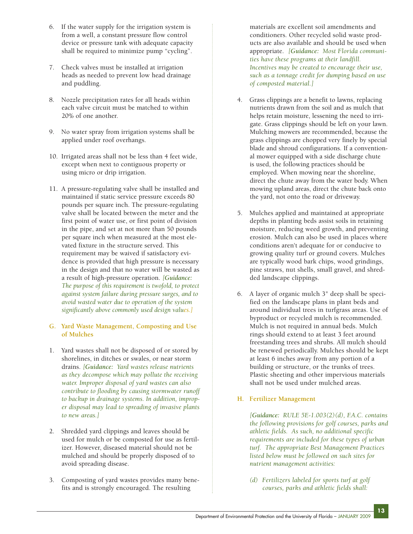- 6. If the water supply for the irrigation system is from a well, a constant pressure flow control device or pressure tank with adequate capacity shall be required to minimize pump "cycling".
- 7. Check valves must be installed at irrigation heads as needed to prevent low head drainage and puddling.
- 8. Nozzle precipitation rates for all heads within each valve circuit must be matched to within 20% of one another.
- 9. No water spray from irrigation systems shall be applied under roof overhangs.
- 10. Irrigated areas shall not be less than 4 feet wide, except when next to contiguous property or using micro or drip irrigation.
- 11. A pressure-regulating valve shall be installed and maintained if static service pressure exceeds 80 pounds per square inch. The pressure-regulating valve shall be located between the meter and the first point of water use, or first point of division in the pipe, and set at not more than 50 pounds per square inch when measured at the most elevated fixture in the structure served. This requirement may be waived if satisfactory evidence is provided that high pressure is necessary in the design and that no water will be wasted as a result of high-pressure operation. *[Guidance: The purpose of this requirement is twofold, to protect against system failure during pressure surges, and to avoid wasted water due to operation of the system significantly above commonly used design values.]*

## **G. Yard Waste Management, Composting and Use of Mulches**

- 1. Yard wastes shall not be disposed of or stored by shorelines, in ditches or swales, or near storm drains. *[Guidance: Yard wastes release nutrients as they decompose which may pollute the receiving water. Improper disposal of yard wastes can also contribute to flooding by causing stormwater runoff to backup in drainage systems. In addition, improper disposal may lead to spreading of invasive plants to new areas.]*
- 2. Shredded yard clippings and leaves should be used for mulch or be composted for use as fertilizer. However, diseased material should not be mulched and should be properly disposed of to avoid spreading disease.
- 3. Composting of yard wastes provides many benefits and is strongly encouraged. The resulting

materials are excellent soil amendments and conditioners. Other recycled solid waste products are also available and should be used when appropriate. *[Guidance: Most Florida communities have these programs at their landfill. Incentives may be created to encourage their use, such as a tonnage credit for dumping based on use of composted material.]*

- 4. Grass clippings are a benefit to lawns, replacing nutrients drawn from the soil and as mulch that helps retain moisture, lessening the need to irrigate. Grass clippings should be left on your lawn. Mulching mowers are recommended, because the grass clippings are chopped very finely by special blade and shroud configurations. If a conventional mower equipped with a side discharge chute is used, the following practices should be employed. When mowing near the shoreline, direct the chute away from the water body. When mowing upland areas, direct the chute back onto the yard, not onto the road or driveway.
- 5. Mulches applied and maintained at appropriate depths in planting beds assist soils in retaining moisture, reducing weed growth, and preventing erosion. Mulch can also be used in places where conditions aren't adequate for or conducive to growing quality turf or ground covers. Mulches are typically wood bark chips, wood grindings, pine straws, nut shells, small gravel, and shredded landscape clippings.
- 6. A layer of organic mulch 3" deep shall be specified on the landscape plans in plant beds and around individual trees in turfgrass areas. Use of byproduct or recycled mulch is recommended. Mulch is not required in annual beds. Mulch rings should extend to at least 3 feet around freestanding trees and shrubs. All mulch should be renewed periodically. Mulches should be kept at least 6 inches away from any portion of a building or structure, or the trunks of trees. Plastic sheeting and other impervious materials shall not be used under mulched areas.

# **H. Fertilizer Management**

*[Guidance: RULE 5E-1.003(2)(d), F.A.C. contains the following provisions for golf courses, parks and athletic fields. As such, no additional specific requirements are included for these types of urban turf. The appropriate Best Management Practices listed below must be followed on such sites for nutrient management activities:*

**13**

*(d) Fertilizers labeled for sports turf at golf courses, parks and athletic fields shall:*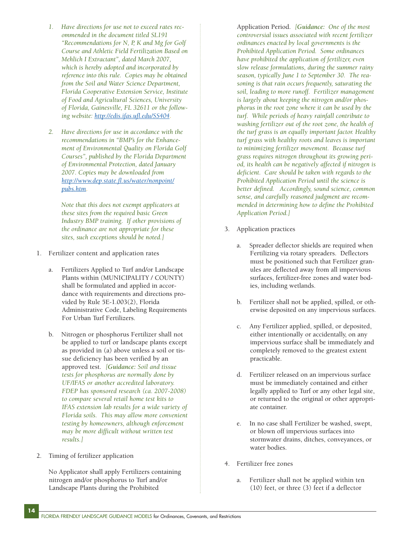- *1. Have directions for use not to exceed rates recommended in the document titled SL191 "Recommendations for N, P, K and Mg for Golf Course and Athletic Field Fertilization Based on Mehlich I Extractant", dated March 2007, which is hereby adopted and incorporated by reference into this rule. Copies may be obtained from the Soil and Water Science Department, Florida Cooperative Extension Service, Institute of Food and Agricultural Sciences, University of Florida, Gainesville, FL 32611 or the following website: [http://edis.ifas.ufl.edu/SS404.](http://edis.ifas.ufl.edu/SS404)*
- *2. Have directions for use in accordance with the recommendations in "BMP's for the Enhancement of Environmental Quality on Florida Golf Courses", published by the Florida Department of Environmental Protection, dated January 2007. Copies may be downloaded from <http://www.dep.state.fl.us/water/nonpoint/> [pubs.htm.](http://www.dep.state.fl.us/water/nonpoint/)*

*Note that this does not exempt applicators at these sites from the required basic Green Industry BMP training. If other provisions of the ordinance are not appropriate for these sites, such exceptions should be noted.]*

- 1. Fertilizer content and application rates
	- a. Fertilizers Applied to Turf and/or Landscape Plants within (MUNICIPALITY / COUNTY) shall be formulated and applied in accordance with requirements and directions provided by Rule 5E-1.003(2), Florida Administrative Code, Labeling Requirements For Urban Turf Fertilizers.
	- b. Nitrogen or phosphorus Fertilizer shall not be applied to turf or landscape plants except as provided in (a) above unless a soil or tissue deficiency has been verified by an approved test. *[Guidance: Soil and tissue tests for phosphorus are normally done by UF/IFAS or another accredited laboratory. FDEP has sponsored research (ca. 2007-2008) to compare several retail home test kits to IFAS extension lab results for a wide variety of Florida soils. This may allow more convenient testing by homeowners, although enforcement may be more difficult without written test results.]*
- 2. Timing of fertilizer application

No Applicator shall apply Fertilizers containing nitrogen and/or phosphorus to Turf and/or Landscape Plants during the Prohibited

Application Period. *[Guidance: One of the most controversial issues associated with recent fertilizer ordinances enacted by local governments is the Prohibited Application Period. Some ordinances have prohibited the application of fertilizer, even slow release formulations, during the summer rainy season, typically June 1 to September 30. The reasoning is that rain occurs frequently, saturating the soil, leading to more runoff. Fertilizer management is largely about keeping the nitrogen and/or phosphorus in the root zone where it can be used by the turf. While periods of heavy rainfall contribute to washing fertilizer out of the root zone, the health of the turf grass is an equally important factor. Healthy turf grass with healthy roots and leaves is important to minimizing fertilizer movement. Because turf grass requires nitrogen throughout its growing period, its health can be negatively affected if nitrogen is deficient. Care should be taken with regards to the Prohibited Application Period until the science is better defined. Accordingly, sound science, common sense, and carefully reasoned judgment are recommended in determining how to define the Prohibited Application Period.]*

- 3. Application practices
	- a. Spreader deflector shields are required when Fertilizing via rotary spreaders. Deflectors must be positioned such that Fertilizer granules are deflected away from all impervious surfaces, fertilizer-free zones and water bodies, including wetlands.
	- b. Fertilizer shall not be applied, spilled, or otherwise deposited on any impervious surfaces.
	- c. Any Fertilizer applied, spilled, or deposited, either intentionally or accidentally, on any impervious surface shall be immediately and completely removed to the greatest extent practicable.
	- d. Fertilizer released on an impervious surface must be immediately contained and either legally applied to Turf or any other legal site, or returned to the original or other appropriate container.
	- e. In no case shall Fertilizer be washed, swept, or blown off impervious surfaces into stormwater drains, ditches, conveyances, or water bodies.
- 4. Fertilizer free zones
	- a. Fertilizer shall not be applied within ten (10) feet, or three (3) feet if a deflector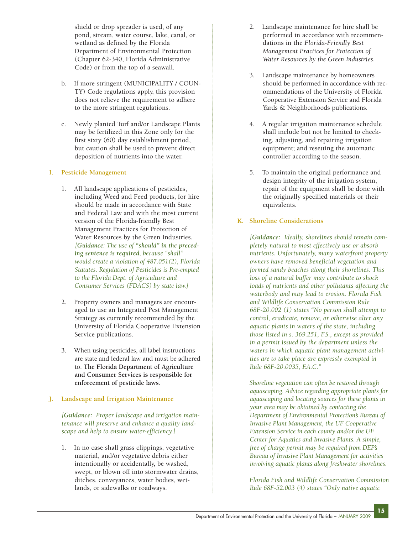shield or drop spreader is used, of any pond, stream, water course, lake, canal, or wetland as defined by the Florida Department of Environmental Protection (Chapter 62-340, Florida Administrative Code) or from the top of a seawall.

- b. If more stringent (MUNICIPALITY / COUN-TY) Code regulations apply, this provision does not relieve the requirement to adhere to the more stringent regulations.
- c. Newly planted Turf and/or Landscape Plants may be fertilized in this Zone only for the first sixty (60) day establishment period, but caution shall be used to prevent direct deposition of nutrients into the water.

# **I. Pesticide Management**

- 1. All landscape applications of pesticides, including Weed and Feed products, for hire should be made in accordance with State and Federal Law and with the most current version of the Florida-friendly Best Management Practices for Protection of Water Resources by the Green Industries. *[Guidance: The use of "should" in the preceding sentence is required, because "shall" would create a violation of 487.051(2), Florida Statutes. Regulation of Pesticides is Pre-empted to the Florida Dept. of Agriculture and Consumer Services (FDACS) by state law.]*
- 2. Property owners and managers are encouraged to use an Integrated Pest Management Strategy as currently recommended by the University of Florida Cooperative Extension Service publications.
- 3. When using pesticides, all label instructions are state and federal law and must be adhered to. **The Florida Department of Agriculture and Consumer Services is responsible for enforcement of pesticide laws**.

# **J. Landscape and Irrigation Maintenance**

*[Guidance: Proper landscape and irrigation maintenance will preserve and enhance a quality landscape and help to ensure water-efficiency.]*

1. In no case shall grass clippings, vegetative material, and/or vegetative debris either intentionally or accidentally, be washed, swept, or blown off into stormwater drains, ditches, conveyances, water bodies, wetlands, or sidewalks or roadways.

- 2. Landscape maintenance for hire shall be performed in accordance with recommendations in the *Florida-Friendly Best Management Practices for Protection of Water Resources by the Green Industries*.
- 3. Landscape maintenance by homeowners should be performed in accordance with recommendations of the University of Florida Cooperative Extension Service and Florida Yards & Neighborhoods publications.
- 4. A regular irrigation maintenance schedule shall include but not be limited to checking, adjusting, and repairing irrigation equipment; and resetting the automatic controller according to the season.
- 5. To maintain the original performance and design integrity of the irrigation system, repair of the equipment shall be done with the originally specified materials or their equivalents.

# **K. Shoreline Considerations**

*[Guidance: Ideally, shorelines should remain completely natural to most effectively use or absorb nutrients. Unfortunately, many waterfront property owners have removed beneficial vegetation and formed sandy beaches along their shorelines. This loss of a natural buffer may contribute to shock loads of nutrients and other pollutants affecting the waterbody and may lead to erosion. Florida Fish and Wildlife Conservation Commission Rule 68F-20.002 (1) states "No person shall attempt to control, eradicate, remove, or otherwise alter any aquatic plants in waters of the state, including those listed in s. 369.251, F.S., except as provided in a permit issued by the department unless the waters in which aquatic plant management activities are to take place are expressly exempted in Rule 68F-20.0035, F.A.C."*

*Shoreline vegetation can often be restored through aquascaping. Advice regarding appropriate plants for aquascaping and locating sources for these plants in your area may be obtained by contacting the Department of Environmental Protection's Bureau of Invasive Plant Management, the UF Cooperative Extension Service in each county and/or the UF Center for Aquatics and Invasive Plants. A simple, free of charge permit may be required from DEP's Bureau of Invasive Plant Management for activities involving aquatic plants along freshwater shorelines.*

*Florida Fish and Wildlife Conservation Commission Rule 68F-52.003 (4) states "Only native aquatic*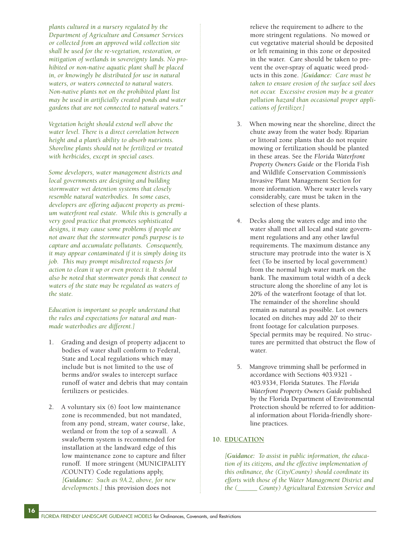*plants cultured in a nursery regulated by the Department of Agriculture and Consumer Services or collected from an approved wild collection site shall be used for the re-vegetation, restoration, or mitigation of wetlands in sovereignty lands. No prohibited or non-native aquatic plant shall be placed in, or knowingly be distributed for use in natural waters, or waters connected to natural waters. Non-native plants not on the prohibited plant list may be used in artificially created ponds and water gardens that are not connected to natural waters."*

*Vegetation height should extend well above the water level. There is a direct correlation between height and a plant's ability to absorb nutrients. Shoreline plants should not be fertilized or treated with herbicides, except in special cases.*

*Some developers, water management districts and local governments are designing and building stormwater wet detention systems that closely resemble natural waterbodies. In some cases, developers are offering adjacent property as premium waterfront real estate. While this is generally a very good practice that promotes sophisticated designs, it may cause some problems if people are not aware that the stormwater pond's purpose is to capture and accumulate pollutants. Consequently, it may appear contaminated if it is simply doing its job. This may prompt misdirected requests for action to clean it up or even protect it. It should also be noted that stormwater ponds that connect to waters of the state may be regulated as waters of the state.*

*Education is important so people understand that the rules and expectations for natural and manmade waterbodies are different.]*

- 1. Grading and design of property adjacent to bodies of water shall conform to Federal, State and Local regulations which may include but is not limited to the use of berms and/or swales to intercept surface runoff of water and debris that may contain fertilizers or pesticides.
- 2. A voluntary six (6) foot low maintenance zone is recommended, but not mandated, from any pond, stream, water course, lake, wetland or from the top of a seawall. A swale/berm system is recommended for installation at the landward edge of this low maintenance zone to capture and filter runoff. If more stringent (MUNICIPALITY /COUNTY) Code regulations apply, *[Guidance: Such as 9A.2, above, for new developments.]* this provision does not

relieve the requirement to adhere to the more stringent regulations. No mowed or cut vegetative material should be deposited or left remaining in this zone or deposited in the water. Care should be taken to prevent the over-spray of aquatic weed products in this zone. *[Guidance: Care must be taken to ensure erosion of the surface soil does not occur. Excessive erosion may be a greater pollution hazard than occasional proper applications of fertilizer.]*

- 3. When mowing near the shoreline, direct the chute away from the water body. Riparian or littoral zone plants that do not require mowing or fertilization should be planted in these areas. See the *Florida Waterfront Property Owners Guide* or the Florida Fish and Wildlife Conservation Commission's Invasive Plant Management Section for more information. Where water levels vary considerably, care must be taken in the selection of these plants.
- 4. Decks along the waters edge and into the water shall meet all local and state government regulations and any other lawful requirements. The maximum distance any structure may protrude into the water is X feet (To be inserted by local government) from the normal high water mark on the bank. The maximum total width of a deck structure along the shoreline of any lot is 20% of the waterfront footage of that lot. The remainder of the shoreline should remain as natural as possible. Lot owners located on ditches may add 20' to their front footage for calculation purposes. Special permits may be required. No structures are permitted that obstruct the flow of water.
- 5. Mangrove trimming shall be performed in accordance with Sections 403.9321 - 403.9334, Florida Statutes. The *Florida Waterfront Property Owners Guide* published by the Florida Department of Environmental Protection should be referred to for additional information about Florida-friendly shoreline practices.

# **10. EDUCATION**

*[Guidance: To assist in public information, the education of its citizens, and the effective implementation of this ordinance, the (City/County) should coordinate its efforts with those of the Water Management District and the (\_\_\_\_\_\_ County) Agricultural Extension Service and*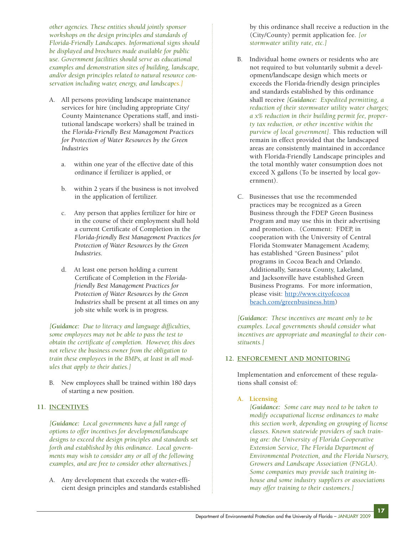*other agencies. These entities should jointly sponsor workshops on the design principles and standards of Florida-Friendly Landscapes. Informational signs should be displayed and brochures made available for public use. Government facilities should serve as educational examples and demonstration sites of building, landscape, and/or design principles related to natural resource conservation including water, energy, and landscapes.]* 

- A. All persons providing landscape maintenance services for hire (including appropriate City/ County Maintenance Operations staff, and institutional landscape workers) shall be trained in the *Florida-Friendly Best Management Practices for Protection of Water Resources by the Green Industries*
	- a. within one year of the effective date of this ordinance if fertilizer is applied, or
	- b. within 2 years if the business is not involved in the application of fertilizer.
	- c. Any person that applies fertilizer for hire or in the course of their employment shall hold a current Certificate of Completion in the *Florida-friendly Best Management Practices for Protection of Water Resources by the Green Industries*.
	- d. At least one person holding a current Certificate of Completion in the *Floridafriendly Best Management Practices for Protection of Water Resources by the Green Industries* shall be present at all times on any job site while work is in progress.

*[Guidance: Due to literacy and language difficulties, some employees may not be able to pass the test to obtain the certificate of completion. However, this does not relieve the business owner from the obligation to train these employees in the BMPs, at least in all modules that apply to their duties.]*

B. New employees shall be trained within 180 days of starting a new position.

# **11. INCENTIVES**

*[Guidance: Local governments have a full range of options to offer incentives for development/landscape designs to exceed the design principles and standards set forth and established by this ordinance. Local governments may wish to consider any or all of the following examples, and are free to consider other alternatives.]*

A. Any development that exceeds the water-efficient design principles and standards established by this ordinance shall receive a reduction in the (City/County) permit application fee. *[or stormwater utility rate, etc.]*

- B. Individual home owners or residents who are not required to but voluntarily submit a development/landscape design which meets or exceeds the Florida-friendly design principles and standards established by this ordinance shall receive *[Guidance: Expedited permitting, a reduction of their stormwater utility water charges; a x% reduction in their building permit fee, property tax reduction, or other incentive within the purview of local government].* This reduction will remain in effect provided that the landscaped areas are consistently maintained in accordance with Florida-Friendly Landscape principles and the total monthly water consumption does not exceed X gallons (To be inserted by local government).
- C. Businesses that use the recommended practices may be recognized as a Green Business through the FDEP Green Business Program and may use this in their advertising and promotion.. (Comment: FDEP, in cooperation with the University of Central Florida Stomwater Management Academy, has established "Green Business" pilot programs in Cocoa Beach and Orlando. Additionally, Sarasota County, Lakeland, and Jacksonville have established Green Business Programs. For more information, please visit: [http://www.cityofcocoa](http://www.cityofcocoabeach.com/greenbusiness.htm) [beach.com/greenbusiness.htm\)](http://www.cityofcocoabeach.com/greenbusiness.htm)

*[Guidance: These incentives are meant only to be examples. Local governments should consider what incentives are appropriate and meaningful to their constituents.]*

# **12. ENFORCEMENT AND MONITORING**

Implementation and enforcement of these regulations shall consist of:

# **A. Licensing**

*[Guidance: Some care may need to be taken to modify occupational license ordinances to make this section work, depending on grouping of license classes. Known statewide providers of such training are: the University of Florida Cooperative Extension Service, The Florida Department of Environmental Protection, and the Florida Nursery, Growers and Landscape Association (FNGLA). Some companies may provide such training inhouse and some industry suppliers or associations may offer training to their customers.]*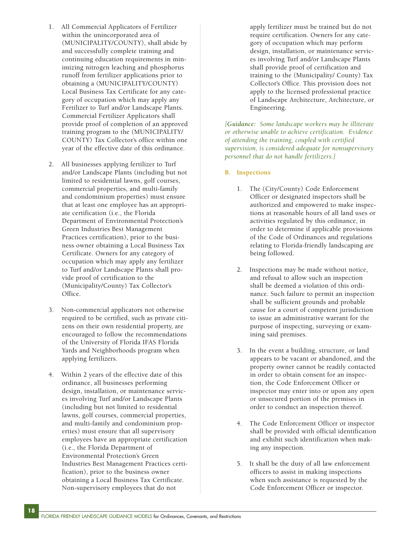- 1. All Commercial Applicators of Fertilizer within the unincorporated area of (MUNICIPALITY/COUNTY), shall abide by and successfully complete training and continuing education requirements in minimizing nitrogen leaching and phosphorus runoff from fertilizer applications prior to obtaining a (MUNICIPALITY/COUNTY) Local Business Tax Certificate for any category of occupation which may apply any Fertilizer to Turf and/or Landscape Plants. Commercial Fertilizer Applicators shall provide proof of completion of an approved training program to the (MUNICIPALITY/ COUNTY) Tax Collector's office within one year of the effective date of this ordinance.
- 2. All businesses applying fertilizer to Turf and/or Landscape Plants (including but not limited to residential lawns, golf courses, commercial properties, and multi-family and condominium properties) must ensure that at least one employee has an appropriate certification (i.e., the Florida Department of Environmental Protection's Green Industries Best Management Practices certification), prior to the business owner obtaining a Local Business Tax Certificate. Owners for any category of occupation which may apply any fertilizer to Turf and/or Landscape Plants shall provide proof of certification to the (Municipality/County) Tax Collector's Office.
- 3. Non-commercial applicators not otherwise required to be certified, such as private citizens on their own residential property, are encouraged to follow the recommendations of the University of Florida IFAS Florida Yards and Neighborhoods program when applying fertilizers.
- 4. Within 2 years of the effective date of this ordinance, all businesses performing design, installation, or maintenance services involving Turf and/or Landscape Plants (including but not limited to residential lawns, golf courses, commercial properties, and multi-family and condominium properties) must ensure that all supervisory employees have an appropriate certification (i.e., the Florida Department of Environmental Protection's Green Industries Best Management Practices certification), prior to the business owner obtaining a Local Business Tax Certificate. Non-supervisory employees that do not

apply fertilizer must be trained but do not require certification. Owners for any category of occupation which may perform design, installation, or maintenance services involving Turf and/or Landscape Plants shall provide proof of certification and training to the (Municipality/ County) Tax Collector's Office. This provision does not apply to the licensed professional practice of Landscape Architecture, Architecture, or Engineering.

*[Guidance: Some landscape workers may be illiterate or otherwise unable to achieve certification. Evidence of attending the training, coupled with certified supervision, is considered adequate for nonsupervisory personnel that do not handle fertilizers.]*

- **B. Inspections**
	- 1. The (City/County) Code Enforcement Officer or designated inspectors shall be authorized and empowered to make inspections at reasonable hours of all land uses or activities regulated by this ordinance, in order to determine if applicable provisions of the Code of Ordinances and regulations relating to Florida-friendly landscaping are being followed.
	- 2. Inspections may be made without notice, and refusal to allow such an inspection shall be deemed a violation of this ordinance. Such failure to permit an inspection shall be sufficient grounds and probable cause for a court of competent jurisdiction to issue an administrative warrant for the purpose of inspecting, surveying or examining said premises.
	- 3. In the event a building, structure, or land appears to be vacant or abandoned, and the property owner cannot be readily contacted in order to obtain consent for an inspection, the Code Enforcement Officer or inspector may enter into or upon any open or unsecured portion of the premises in order to conduct an inspection thereof.
	- 4. The Code Enforcement Officer or inspector shall be provided with official identification and exhibit such identification when making any inspection.
	- 5. It shall be the duty of all law enforcement officers to assist in making inspections when such assistance is requested by the Code Enforcement Officer or inspector.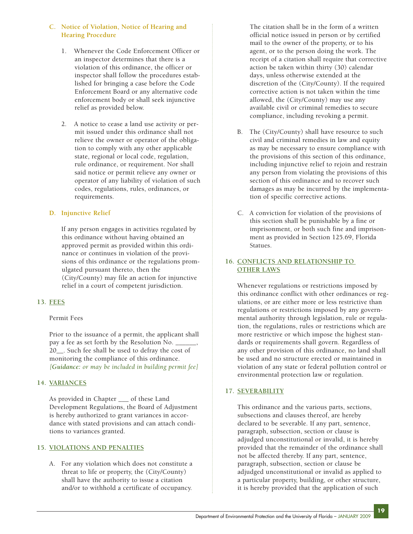# **C. Notice of Violation, Notice of Hearing and Hearing Procedure**

- 1. Whenever the Code Enforcement Officer or an inspector determines that there is a violation of this ordinance, the officer or inspector shall follow the procedures established for bringing a case before the Code Enforcement Board or any alternative code enforcement body or shall seek injunctive relief as provided below.
- 2. A notice to cease a land use activity or permit issued under this ordinance shall not relieve the owner or operator of the obligation to comply with any other applicable state, regional or local code, regulation, rule ordinance, or requirement. Nor shall said notice or permit relieve any owner or operator of any liability of violation of such codes, regulations, rules, ordinances, or requirements.

## **D. Injunctive Relief**

If any person engages in activities regulated by this ordinance without having obtained an approved permit as provided within this ordinance or continues in violation of the provisions of this ordinance or the regulations promulgated pursuant thereto, then the (City/County) may file an action for injunctive relief in a court of competent jurisdiction.

# **13. FEES**

## Permit Fees

Prior to the issuance of a permit, the applicant shall pay a fee as set forth by the Resolution No. \_\_\_\_\_\_\_ 20 . Such fee shall be used to defray the cost of monitoring the compliance of this ordinance. *[Guidance: or may be included in building permit fee]* 

## **14. VARIANCES**

As provided in Chapter \_\_\_ of these Land Development Regulations, the Board of Adjustment is hereby authorized to grant variances in accordance with stated provisions and can attach conditions to variances granted.

# **15. VIOLATIONS AND PENALTIES**

A. For any violation which does not constitute a threat to life or property, the (City/County) shall have the authority to issue a citation and/or to withhold a certificate of occupancy.

The citation shall be in the form of a written official notice issued in person or by certified mail to the owner of the property, or to his agent, or to the person doing the work. The receipt of a citation shall require that corrective action be taken within thirty (30) calendar days, unless otherwise extended at the discretion of the (City/County). If the required corrective action is not taken within the time allowed, the (City/County) may use any available civil or criminal remedies to secure compliance, including revoking a permit.

- B. The (City/County) shall have resource to such civil and criminal remedies in law and equity as may be necessary to ensure compliance with the provisions of this section of this ordinance, including injunctive relief to rejoin and restrain any person from violating the provisions of this section of this ordinance and to recover such damages as may be incurred by the implementation of specific corrective actions.
- C. A conviction for violation of the provisions of this section shall be punishable by a fine or imprisonment, or both such fine and imprisonment as provided in Section 125.69, Florida Statues.

# **16. CONFLICTS AND RELATIONSHIP TO OTHER LAWS**

Whenever regulations or restrictions imposed by this ordinance conflict with other ordinances or regulations, or are either more or less restrictive than regulations or restrictions imposed by any governmental authority through legislation, rule or regulation, the regulations, rules or restrictions which are more restrictive or which impose the highest standards or requirements shall govern. Regardless of any other provision of this ordinance, no land shall be used and no structure erected or maintained in violation of any state or federal pollution control or environmental protection law or regulation.

# **17. SEVERABILITY**

This ordinance and the various parts, sections, subsections and clauses thereof, are hereby declared to be severable. If any part, sentence, paragraph, subsection, section or clause is adjudged unconstitutional or invalid, it is hereby provided that the remainder of the ordinance shall not be affected thereby. If any part, sentence, paragraph, subsection, section or clause be adjudged unconstitutional or invalid as applied to a particular property, building, or other structure, it is hereby provided that the application of such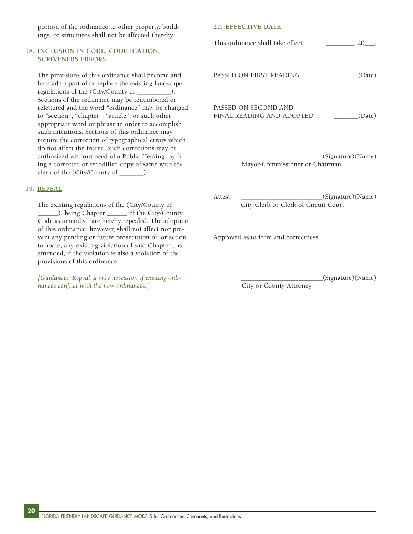portion of the ordinance to other property, buildings, or structures shall not be affected thereby.

## **18. INCLUSION IN CODE, CODIFICATION, SCRIVENERS ERRORS**

The provisions of this ordinance shall become and be made a part of or replace the existing landscape regulations of the (City/County of \_\_\_\_\_\_\_\_\_\_). Sections of the ordinance may be renumbered or relettered and the word "ordinance" may be changed to "section", "chapter", "article", or such other appropriate word or phrase in order to accomplish such intentions. Sections of this ordinance may require the correction of typographical errors which do not affect the intent. Such corrections may be authorized without need of a Public Hearing, by filing a corrected or recodified copy of same with the clerk of the (City/County of \_\_\_\_\_\_\_).

### **19. REPEAL**

**20**

The existing regulations of the (City/County of \_\_\_\_\_\_), being Chapter \_\_\_\_\_\_ of the City/County Code as amended, are hereby repealed. The adoption of this ordinance; however, shall not affect nor prevent any pending or future prosecution of, or action to abate, any existing violation of said Chapter , as amended, if the violation is also a violation of the provisions of this ordinance.

*[Guidance: Repeal is only necessary if existing ordinances conflict with the new ordinances.]*

#### **20. EFFECTIVE DATE**

| This ordinance shall take effect                  | . 20              |
|---------------------------------------------------|-------------------|
| PASSED ON FIRST READING                           | (Date)            |
| PASSED ON SECOND AND<br>FINAL READING AND ADOPTED | (Date)            |
| Mayor-Commissioner or Chairman                    | (Signature)(Name) |

Attest: \_\_\_\_\_\_\_\_\_\_\_\_\_\_\_\_\_\_\_\_\_\_\_\_\_\_\_(Signature)(Name) City Clerk or Clerk of Circuit Court

Approved as to form and correctness:

\_\_\_\_\_\_\_\_\_\_\_\_\_\_\_\_\_\_\_\_\_\_\_\_(Signature)(Name)

City or County Attorney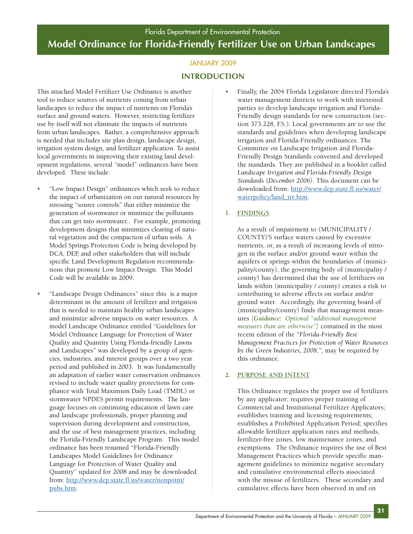# JANUARY 2009 **INTRODUCTION**

This attached Model Fertilizer Use Ordinance is another tool to reduce sources of nutrients coming from urban landscapes to reduce the impact of nutrients on Florida's surface and ground waters. However, restricting fertilizer use by itself will not eliminate the impacts of nutrients from urban landscapes. Rather, a comprehensive approach is needed that includes site plan design, landscape design, irrigation system design, and fertilizer application. To assist local governments in improving their existing land development regulations, several "model" ordinances have been developed. These include:

- "Low Impact Design" ordinances which seek to reduce the impact of urbanization on our natural resources by stressing "source controls" that either minimize the generation of stormwater or minimize the pollutants that can get into stormwater.. For example, promoting development designs that minimizes clearing of natural vegetation and the compaction of urban soils. A Model Springs Protection Code is being developed by DCA, DEP, and other stakeholders that will include specific Land Development Regulation recommendations that promote Low Impact Design. This Model Code will be available in 2009.
- "Landscape Design Ordinances" since this is a major determinant in the amount of fertilizer and irrigation that is needed to maintain healthy urban landscapes and minimize adverse impacts on water resources. A model Landscape Ordinance entitled "Guidelines for Model Ordinance Language for Protection of Water Quality and Quantity Using Florida-friendly Lawns and Landscapes" was developed by a group of agencies, industries, and interest groups over a two year period and published in 2003. It was fundamentally an adaptation of earlier water conservation ordinances revised to include water quality protections for compliance with Total Maximum Daily Load (TMDL) or stormwater NPDES permit requirements. The language focuses on continuing education of lawn care and landscape professionals, proper planning and supervision during development and construction, and the use of best management practices, including the Florida-Friendly Landscape Program. This model ordinance has been renamed "Florida-Friendly Landscapes Model Guidelines for Ordinance Language for Protection of Water Quality and Quantity" updated for 2008 and may be downloaded from: [http://www.dep.state.fl.us/water/nonpoint/](http://www.dep.state.fl.us/water/nonpoint/pubs.htm) [pubs.htm.](http://www.dep.state.fl.us/water/nonpoint/pubs.htm)

• Finally, the 2004 Florida Legislature directed Florida's water management districts to work with interested parties to develop landscape irrigation and Florida-Friendly design standards for new construction (section 373.228, F.S.). Local governments are to use the standards and guidelines when developing landscape irrigation and Florida-Friendly ordinances. The Committee on Landscape Irrigation and Florida-Friendly Design Standards convened and developed the standards. They are published in a booklet called *Landscape Irrigation and Florida-Friendly Design Standards (December 2006)*. This document can be downloaded from: [http://www.dep.state.fl.us/water/](http://www.dep.state.fl.us/water/waterpolicy/land_irr.htm) [waterpolicy/land\\_irr.htm.](http://www.dep.state.fl.us/water/waterpolicy/land_irr.htm)

# **1. FINDINGS**

As a result of impairment to (MUNICIPALITY / COUNTY)'S surface waters caused by excessive nutrients, or, as a result of increasing levels of nitrogen in the surface and/or ground water within the aquifers or springs within the boundaries of (municipality/county), the governing body of (municipality / county) has determined that the use of fertilizers on lands within (municipality / county) creates a risk to contributing to adverse effects on surface and/or ground water. Accordingly, the governing board of (municipality/county) finds that management measures *[Guidance: Optional "additional management measures than are otherwise"]* contained in the most recent edition of the *"Florida-Friendly Best Management Practices for Protection of Water Resources by the Green Industries, 2008,",* may be required by this ordinance.

# **2. PURPOSE AND INTENT**

This Ordinance regulates the proper use of fertilizers by any applicator; requires proper training of Commercial and Institutional Fertilizer Applicators; establishes training and licensing requirements; establishes a Prohibited Application Period; specifies allowable fertilizer application rates and methods, fertilizer-free zones, low maintenance zones, and exemptions. The Ordinance requires the use of Best Management Practices which provide specific management guidelines to minimize negative secondary and cumulative environmental effects associated with the misuse of fertilizers. These secondary and cumulative effects have been observed in and on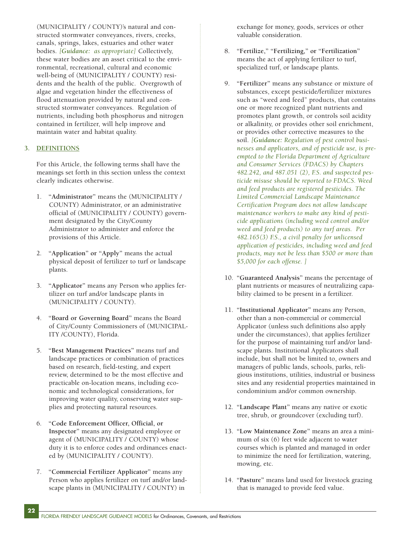(MUNICIPALITY / COUNTY)'s natural and constructed stormwater conveyances, rivers, creeks, canals, springs, lakes, estuaries and other water bodies. *[Guidance: as appropriate]* Collectively, these water bodies are an asset critical to the environmental, recreational, cultural and economic well-being of (MUNICIPALITY / COUNTY) residents and the health of the public. Overgrowth of algae and vegetation hinder the effectiveness of flood attenuation provided by natural and constructed stormwater conveyances. Regulation of nutrients, including both phosphorus and nitrogen contained in fertilizer, will help improve and maintain water and habitat quality.

## **3. DEFINITIONS**

For this Article, the following terms shall have the meanings set forth in this section unless the context clearly indicates otherwise.

- 1. **"Administrator"** means the (MUNICIPALITY / COUNTY) Administrator, or an administrative official of (MUNICIPALITY / COUNTY) government designated by the City/County Administrator to administer and enforce the provisions of this Article.
- 2. **"Application" or "Apply"** means the actual physical deposit of fertilizer to turf or landscape plants.
- 3. **"Applicator"** means any Person who applies fertilizer on turf and/or landscape plants in (MUNICIPALITY / COUNTY).
- 4. **"Board or Governing Board"** means the Board of City/County Commissioners of (MUNICIPAL-ITY /COUNTY), Florida.
- 5. **"Best Management Practices"** means turf and landscape practices or combination of practices based on research, field-testing, and expert review, determined to be the most effective and practicable on-location means, including economic and technological considerations, for improving water quality, conserving water supplies and protecting natural resources.
- 6. **"Code Enforcement Officer, Official, or Inspector"** means any designated employee or agent of (MUNICIPALITY / COUNTY) whose duty it is to enforce codes and ordinances enacted by (MUNICIPALITY / COUNTY).
- 7. **"Commercial Fertilizer Applicator"** means any Person who applies fertilizer on turf and/or landscape plants in (MUNICIPALITY / COUNTY) in

exchange for money, goods, services or other valuable consideration.

- 8. **"Fertilize," "Fertilizing," or "Fertilization"** means the act of applying fertilizer to turf, specialized turf, or landscape plants.
- 9. **"Fertilizer"** means any substance or mixture of substances, except pesticide/fertilizer mixtures such as "weed and feed" products, that contains one or more recognized plant nutrients and promotes plant growth, or controls soil acidity or alkalinity, or provides other soil enrichment, or provides other corrective measures to the soil. *[Guidance: Regulation of pest control businesses and applicators, and of pesticide use, is preempted to the Florida Department of Agriculture and Consumer Services (FDACS) by Chapters 482.242, and 487.051 (2), F.S. and suspected pesticide misuse should be reported to FDACS. Weed and feed products are registered pesticides. The Limited Commercial Landscape Maintenance Certification Program does not allow landscape maintenance workers to make any kind of pesticide applications (including weed control and/or weed and feed products) to any turf areas. Per 482.165(3) F.S., a civil penalty for unlicensed application of pesticides, including weed and feed products, may not be less than \$500 or more than \$5,000 for each offense. ]*
- 10. **"Guaranteed Analysis"** means the percentage of plant nutrients or measures of neutralizing capability claimed to be present in a fertilizer.
- 11. **"Institutional Applicator"** means any Person, other than a non-commercial or commercial Applicator (unless such definitions also apply under the circumstances), that applies fertilizer for the purpose of maintaining turf and/or landscape plants. Institutional Applicators shall include, but shall not be limited to, owners and managers of public lands, schools, parks, religious institutions, utilities, industrial or business sites and any residential properties maintained in condominium and/or common ownership.
- 12. **"Landscape Plant"** means any native or exotic tree, shrub, or groundcover (excluding turf).
- 13. **"Low Maintenance Zone"** means an area a minimum of six (6) feet wide adjacent to water courses which is planted and managed in order to minimize the need for fertilization, watering, mowing, etc.
- 14. **"Pasture"** means land used for livestock grazing that is managed to provide feed value.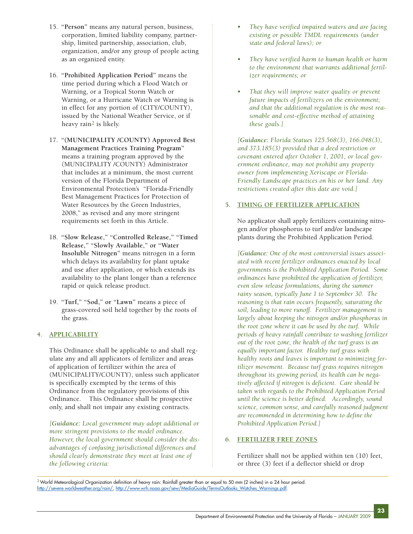- 15. **"Person"** means any natural person, business, corporation, limited liability company, partnership, limited partnership, association, club, organization, and/or any group of people acting as an organized entity.
- 16. **"Prohibited Application Period"** means the time period during which a Flood Watch or Warning, or a Tropical Storm Watch or Warning, or a Hurricane Watch or Warning is in effect for any portion of (CITY/COUNTY), issued by the National Weather Service, or if heavy rain2 is likely.
- 17. **"(MUNICIPALITY /COUNTY) Approved Best Management Practices Training Program"** means a training program approved by the (MUNICIPALITY /COUNTY) Administrator that includes at a minimum, the most current version of the Florida Department of Environmental Protection's "Florida-Friendly Best Management Practices for Protection of Water Resources by the Green Industries, 2008," as revised and any more stringent requirements set forth in this Article.
- 18. **"Slow Release," "Controlled Release," "Timed Release," "Slowly Available," or "Water Insoluble Nitrogen"** means nitrogen in a form which delays its availability for plant uptake and use after application, or which extends its availability to the plant longer than a reference rapid or quick release product.
- 19. **"Turf," "Sod," or "Lawn"** means a piece of grass-covered soil held together by the roots of the grass.

# **4. APPLICABILITY**

This Ordinance shall be applicable to and shall regulate any and all applicators of fertilizer and areas of application of fertilizer within the area of (MUNICIPALITY/COUNTY), unless such applicator is specifically exempted by the terms of this Ordinance from the regulatory provisions of this Ordinance. This Ordinance shall be prospective only, and shall not impair any existing contracts.

*[Guidance: Local government may adopt additional or more stringent provisions to the model ordinance. However, the local government should consider the disadvantages of confusing jurisdictional differences and should clearly demonstrate they meet at least one of the following criteria:*

- *They have verified impaired waters and are facing existing or possible TMDL requirements (under state and federal laws); or*
- *They have verified harm to human health or harm to the environment that warrants additional fertilizer requirements; or*
- *That they will improve water quality or prevent future impacts of fertilizers on the environment; and that the additional regulation is the most reasonable and cost-effective method of attaining these goals.]*

*[Guidance: Florida Statues 125.568(3), 166.048(3), and 373.185(3) provided that a deed restriction or covenant entered after October 1, 2001, or local government ordinance, may not prohibit any property owner from implementing Xeriscape or Florida-Friendly Landscape practices on his or her land. Any restrictions created after this date are void.]*

## **5. TIMING OF FERTILIZER APPLICATION**

No applicator shall apply fertilizers containing nitrogen and/or phosphorus to turf and/or landscape plants during the Prohibited Application Period.

*[Guidance: One of the most controversial issues associated with recent fertilizer ordinances enacted by local governments is the Prohibited Application Period. Some ordinances have prohibited the application of fertilizer, even slow release formulations, during the summer rainy season, typically June 1 to September 30. The reasoning is that rain occurs frequently, saturating the soil, leading to more runoff. Fertilizer management is largely about keeping the nitrogen and/or phosphorus in the root zone where it can be used by the turf. While periods of heavy rainfall contribute to washing fertilizer out of the root zone, the health of the turf grass is an equally important factor. Healthy turf grass with healthy roots and leaves is important to minimizing fertilizer movement. Because turf grass requires nitrogen throughout its growing period, its health can be negatively affected if nitrogen is deficient. Care should be taken with regards to the Prohibited Application Period until the science is better defined. Accordingly, sound science, common sense, and carefully reasoned judgment are recommended in determining how to define the Prohibited Application Period.]*

## **6. FERTILIZER FREE ZONES**

Fertilizer shall not be applied within ten (10) feet, or three (3) feet if a deflector shield or drop

<sup>2</sup> World Meteorological Organization definition of heavy rain: Rainfall greater than or equal to 50 mm (2 inches) in a 24 hour period. [http://severe.worldweather.org/rain/,](http://severe.worldweather.org/rain/) [http://www.wrh.noaa.gov/sew/MediaGuide/TermsOutlooks\\_Watches\\_Warnings.pdf.](http://www.wrh.noaa.gov/sew/MediaGuide/TermsOutlooks_Watches_Warnings.pdf)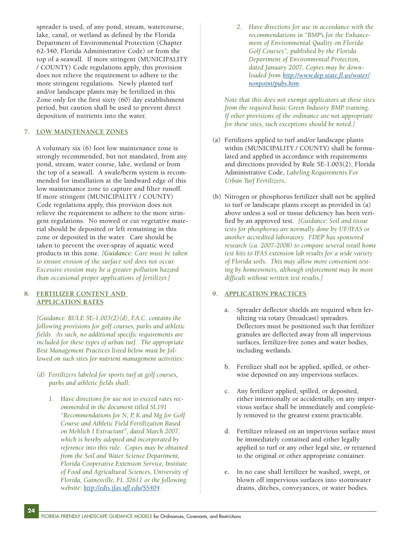spreader is used, of any pond, stream, watercourse, lake, canal, or wetland as defined by the Florida Department of Environmental Protection (Chapter 62-340, Florida Administrative Code) or from the top of a seawall. If more stringent (MUNICIPALITY / COUNTY) Code regulations apply, this provision does not relieve the requirement to adhere to the more stringent regulations. Newly planted turf and/or landscape plants may be fertilized in this Zone only for the first sixty (60) day establishment period, but caution shall be used to prevent direct deposition of nutrients into the water.

## **7. LOW MAINTENANCE ZONES**

A voluntary six (6) foot low maintenance zone is strongly recommended, but not mandated, from any pond, stream, water course, lake, wetland or from the top of a seawall. A swale/berm system is recommended for installation at the landward edge of this low maintenance zone to capture and filter runoff. If more stringent (MUNICIPALITY / COUNTY) Code regulations apply, this provision does not relieve the requirement to adhere to the more stringent regulations. No mowed or cut vegetative material should be deposited or left remaining in this zone or deposited in the water. Care should be taken to prevent the over-spray of aquatic weed products in this zone. *[Guidance: Care must be taken to ensure erosion of the surface soil does not occur. Excessive erosion may be a greater pollution hazard than occasional proper applications of fertilizer.]*

## **8. FERTILIZER CONTENT AND APPLICATION RATES**

*[Guidance: RULE 5E-1.003(2)(d), F.A.C. contains the following provisions for golf courses, parks and athletic fields. As such, no additional specific requirements are included for these types of urban turf. The appropriate Best Management Practices listed below must be followed on such sites for nutrient management activities:*

- *(d) Fertilizers labeled for sports turf at golf courses, parks and athletic fields shall:*
	- *1. Have directions for use not to exceed rates recommended in the document titled SL191 "Recommendations for N, P, K and Mg for Golf Course and Athletic Field Fertilization Based on Mehlich I Extractant", dated March 2007, which is hereby adopted and incorporated by reference into this rule. Copies may be obtained from the Soil and Water Science Department, Florida Cooperative Extension Service, Institute of Food and Agricultural Sciences, University of Florida, Gainesville, FL 32611 or the following website: [http://edis.ifas.ufl.edu/SS404.](http://edis.ifas.ufl.edu/SS404)*

*2. Have directions for use in accordance with the recommendations in "BMP's for the Enhancement of Environmental Quality on Florida Golf Courses", published by the Florida Department of Environmental Protection, dated January 2007. Copies may be downloaded from [http://www.dep.state.fl.us/water/](http://www.dep.state.fl.us/water/nonpoint/pubs.htm) [nonpoint/pubs.htm.](http://www.dep.state.fl.us/water/nonpoint/pubs.htm)*

*Note that this does not exempt applicators at these sites from the required basic Green Industry BMP training. If other provisions of the ordinance are not appropriate for these sites, such exceptions should be noted.]*

- (a) Fertilizers applied to turf and/or landscape plants within (MUNICIPALITY / COUNTY) shall be formulated and applied in accordance with requirements and directions provided by Rule 5E-1.003(2), Florida Administrative Code, *Labeling Requirements For Urban Turf Fertilizers*.
- (b) Nitrogen or phosphorus fertilizer shall not be applied to turf or landscape plants except as provided in (a) above unless a soil or tissue deficiency has been verified by an approved test. *[Guidance: Soil and tissue tests for phosphorus are normally done by UF/IFAS or another accredited laboratory. FDEP has sponsored research (ca. 2007-2008) to compare several retail home test kits to IFAS extension lab results for a wide variety of Florida soils. This may allow more convenient testing by homeowners, although enforcement may be more difficult without written test results.]*

## **9. APPLICATION PRACTICES**

- a. Spreader deflector shields are required when fertilizing via rotary (broadcast) spreaders. Deflectors must be positioned such that fertilizer granules are deflected away from all impervious surfaces, fertilizer-free zones and water bodies, including wetlands.
- b. Fertilizer shall not be applied, spilled, or otherwise deposited on any impervious surfaces.
- c. Any fertilizer applied, spilled, or deposited, either intentionally or accidentally, on any impervious surface shall be immediately and completely removed to the greatest extent practicable.
- d. Fertilizer released on an impervious surface must be immediately contained and either legally applied to turf or any other legal site, or returned to the original or other appropriate container.
- e. In no case shall fertilizer be washed, swept, or blown off impervious surfaces into stormwater drains, ditches, conveyances, or water bodies.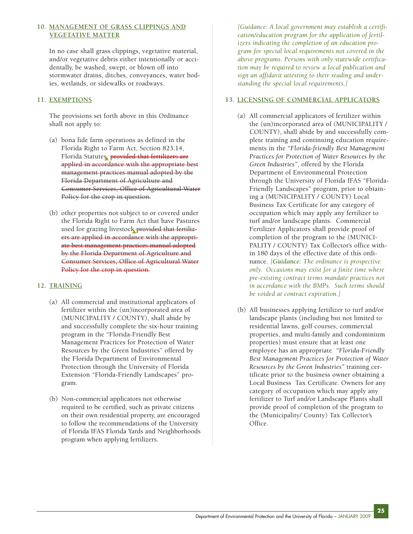## **10. MANAGEMENT OF GRASS CLIPPINGS AND VEGETATIVE MATTER**

In no case shall grass clippings, vegetative material, and/or vegetative debris either intentionally or accidentally, be washed, swept, or blown off into stormwater drains, ditches, conveyances, water bodies, wetlands, or sidewalks or roadways.

# **11. EXEMPTIONS**

The provisions set forth above in this Ordinance shall not apply to:

- (a) bona fide farm operations as defined in the Florida Right to Farm Act, Section 823.14, Florida Statutes, provided that fertilizers are applied in accordance with the appropriate best management practices manual adopted by the Florida Department of Agriculture and Consumer Services, Office of Agricultural Water Policy for the crop in question.
- (b) other properties not subject to or covered under the Florida Right to Farm Act that have Pastures used for grazing livestock provided that fertilizers are applied in accordance with the appropriate best management practices manual adopted by the Florida Department of Agriculture and Consumer Services, Office of Agricultural Water Policy for the crop in question.

# **12. TRAINING**

- (a) All commercial and institutional applicators of fertilizer within the (un)incorporated area of (MUNICIPALITY / COUNTY), shall abide by and successfully complete the six-hour training program in the "Florida-Friendly Best Management Practices for Protection of Water Resources by the Green Industries" offered by the Florida Department of Environmental Protection through the University of Florida Extension "Florida-Friendly Landscapes" program.
- (b) Non-commercial applicators not otherwise required to be certified, such as private citizens on their own residential property, are encouraged to follow the recommendations of the University of Florida IFAS Florida Yards and Neighborhoods program when applying fertilizers.

*[Guidance: A local government may establish a certification/education program for the application of fertilizers indicating the completion of an education program for special local requirements not covered in the above programs. Persons with only statewide certification may be required to review a local publication and sign an affidavit attesting to their reading and understanding the special local requirements.]* 

## **13. LICENSING OF COMMERCIAL APPLICATORS**

- (a) All commercial applicators of fertilizer within the (un)incorporated area of (MUNICIPALITY / COUNTY), shall abide by and successfully complete training and continuing education requirements in the *"Florida-friendly Best Management Practices for Protection of Water Resources by the Green Industries"*, offered by the Florida Department of Environmental Protection through the University of Florida IFAS "Florida-Friendly Landscapes" program, prior to obtaining a (MUNICIPALITY / COUNTY) Local Business Tax Certificate for any category of occupation which may apply any fertilizer to turf and/or landscape plants. Commercial Fertilizer Applicators shall provide proof of completion of the program to the (MUNICI-PALITY / COUNTY) Tax Collector's office within 180 days of the effective date of this ordinance. *[Guidance: The ordinance is prospective only. Occasions may exist for a finite time where pre-existing contract terms mandate practices not in accordance with the BMPs. Such terms should be voided at contract expiration.]*
- (b) All businesses applying fertilizer to turf and/or landscape plants (including but not limited to residential lawns, golf courses, commercial properties, and multi-family and condominium properties) must ensure that at least one employee has an appropriate *"Florida-Friendly Best Management Practices for Protection of Water Resources by the Green Industries"* training certificate prior to the business owner obtaining a Local Business Tax Certificate. Owners for any category of occupation which may apply any fertilizer to Turf and/or Landscape Plants shall provide proof of completion of the program to the (Municipality/ County) Tax Collector's Office.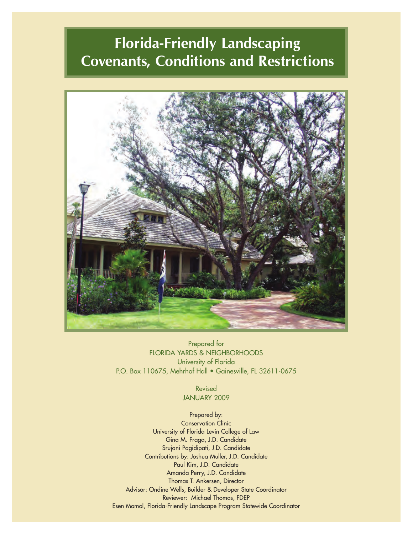# **Florida-Friendly Landscaping Covenants, Conditions and Restrictions**



Prepared for FLORIDA YARDS & NEIGHBORHOODS University of Florida P.O. Box 110675, Mehrhof Hall • Gainesville, FL 32611-0675

> Revised JANUARY 2009

## Prepared by:

Conservation Clinic University of Florida Levin College of Law Gina M. Fraga, J.D. Candidate Srujani Pagidipati, J.D. Candidate Contributions by: Joshua Muller, J.D. Candidate Paul Kim, J.D. Candidate Amanda Perry, J.D. Candidate Thomas T. Ankersen, Director Advisor: Ondine Wells, Builder & Developer State Coordinator Reviewer: Michael Thomas, FDEP Esen Momol, Florida-Friendly Landscape Program Statewide Coordinator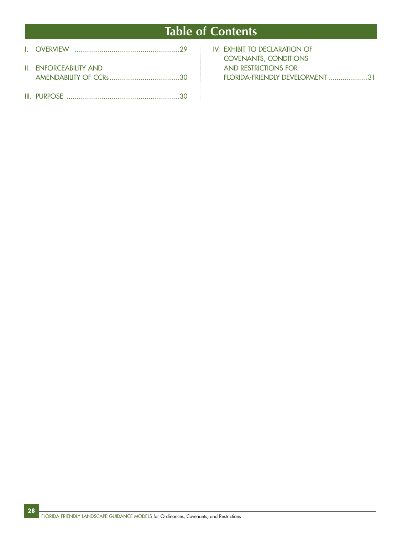# **Table of Contents**

| <b>II. ENFORCEABILITY AND</b> |  |
|-------------------------------|--|
|                               |  |

| IV. EXHIBIT TO DECLARATION OF   |
|---------------------------------|
| <b>COVENANTS, CONDITIONS</b>    |
| AND RESTRICTIONS FOR            |
| FLORIDA-FRIENDLY DEVELOPMENT 31 |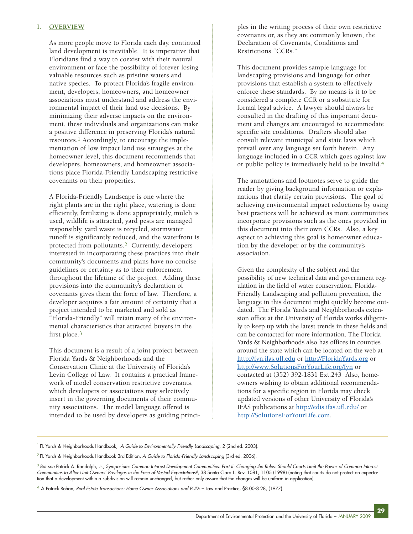### **I. OVERVIEW**

As more people move to Florida each day, continued land development is inevitable. It is imperative that Floridians find a way to coexist with their natural environment or face the possibility of forever losing valuable resources such as pristine waters and native species. To protect Florida's fragile environment, developers, homeowners, and homeowner associations must understand and address the environmental impact of their land use decisions. By minimizing their adverse impacts on the environment, these individuals and organizations can make a positive difference in preserving Florida's natural resources.1 Accordingly, to encourage the implementation of low impact land use strategies at the homeowner level, this document recommends that developers, homeowners, and homeowner associations place Florida-Friendly Landscaping restrictive covenants on their properties.

A Florida-Friendly Landscape is one where the right plants are in the right place, watering is done efficiently, fertilizing is done appropriately, mulch is used, wildlife is attracted, yard pests are managed responsibly, yard waste is recycled, stormwater runoff is significantly reduced, and the waterfront is protected from pollutants.2 Currently, developers interested in incorporating these practices into their community's documents and plans have no concise guidelines or certainty as to their enforcement throughout the lifetime of the project. Adding these provisions into the community's declaration of covenants gives them the force of law. Therefore, a developer acquires a fair amount of certainty that a project intended to be marketed and sold as "Florida-Friendly" will retain many of the environmental characteristics that attracted buyers in the first place.3

This document is a result of a joint project between Florida Yards & Neighborhoods and the Conservation Clinic at the University of Florida's Levin College of Law. It contains a practical framework of model conservation restrictive covenants, which developers or associations may selectively insert in the governing documents of their community associations. The model language offered is intended to be used by developers as guiding principles in the writing process of their own restrictive covenants or, as they are commonly known, the Declaration of Covenants, Conditions and Restrictions "CCRs."

This document provides sample language for landscaping provisions and language for other provisions that establish a system to effectively enforce these standards. By no means is it to be considered a complete CCR or a substitute for formal legal advice. A lawyer should always be consulted in the drafting of this important document and changes are encouraged to accommodate specific site conditions. Drafters should also consult relevant municipal and state laws which prevail over any language set forth herein. Any language included in a CCR which goes against law or public policy is immediately held to be invalid.4

The annotations and footnotes serve to guide the reader by giving background information or explanations that clarify certain provisions. The goal of achieving environmental impact reductions by using best practices will be achieved as more communities incorporate provisions such as the ones provided in this document into their own CCRs. Also, a key aspect to achieving this goal is homeowner education by the developer or by the community's association.

Given the complexity of the subject and the possibility of new technical data and government regulation in the field of water conservation, Florida-Friendly Landscaping and pollution prevention, the language in this document might quickly become outdated. The Florida Yards and Neighborhoods extension office at the University of Florida works diligently to keep up with the latest trends in these fields and can be contacted for more information. The Florida Yards & Neighborhoods also has offices in counties around the state which can be located on the web at <http://fyn.ifas.ufl.edu> or<http://FloridaYards.org> or <http://www.SolutionsForYourLife.org/fyn> or contacted at (352) 392-1831 Ext.243 Also, homeowners wishing to obtain additional recommendations for a specific region in Florida may check updated versions of other University of Florida's IFAS publications at<http://edis.ifas.ufl.edu/> or [http://SolutionsForYourLife.com.](http://SolutionsForYourLife.com)

<sup>1</sup> FL Yards & Neighborhoods Handbook, *A Guide to Environmentally Friendly Landscaping*, 2 (2nd ed. 2003).

<sup>2</sup> FL Yards & Neighborhoods Handbook 3rd Edition, *A Guide to Florida-Friendly Landscaping* (3rd ed. 2006).

<sup>&</sup>lt;sup>3</sup> But see Patrick A. Randolph, Jr., *Symposium: Common Interest Development Communities: Part II: Changing the Rules: Should Courts Limit the Power of Common Interest Communities to Alter Unit Owners' Privileges in the Face of Vested Expectations?*, 38 Santa Clara L. Rev. 1081, 1105 (1998) (noting that courts do not protect an expectation that a development within a subdivision will remain unchanged, but rather only assure that the changes will be uniform in application).

<sup>&</sup>lt;sup>4</sup> A Patrick Rohan, *Real Estate Transactions: Home Owner Associations and PUDs - Law and Practice, §8.00-8.28, (1977).*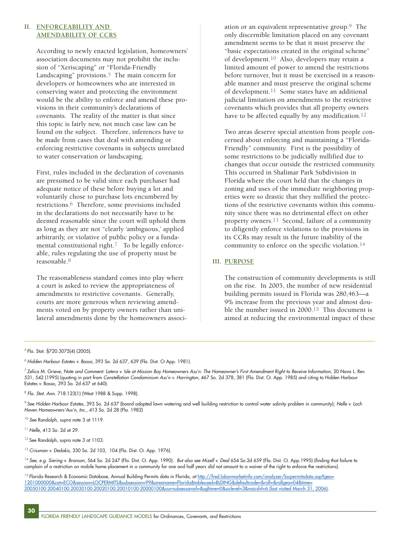### **II. ENFORCEABILITY AND AMENDABILITY OF CCRS**

According to newly enacted legislation, homeowners' association documents may not prohibit the inclusion of "Xeriscaping" or "Florida-Friendly Landscaping" provisions.<sup>5</sup> The main concern for developers or homeowners who are interested in conserving water and protecting the environment would be the ability to enforce and amend these provisions in their community's declarations of covenants. The reality of the matter is that since this topic is fairly new, not much case law can be found on the subject. Therefore, inferences have to be made from cases that deal with amending or enforcing restrictive covenants in subjects unrelated to water conservation or landscaping.

First, rules included in the declaration of covenants are presumed to be valid since each purchaser had adequate notice of these before buying a lot and voluntarily chose to purchase lots encumbered by restrictions.6 Therefore, some provisions included in the declarations do not necessarily have to be deemed reasonable since the court will uphold them as long as they are not "clearly 'ambiguous,' applied arbitrarily, or violative of public policy or a fundamental constitutional right. $\frac{7}{10}$  To be legally enforceable, rules regulating the use of property must be reasonable.8

The reasonableness standard comes into play where a court is asked to review the appropriateness of amendments to restrictive covenants. Generally, courts are more generous when reviewing amendments voted on by property owners rather than unilateral amendments done by the homeowners association or an equivalent representative group. $9$  The only discernible limitation placed on any covenant amendment seems to be that it must preserve the "basic expectations created in the original scheme" of development.10 Also, developers may retain a limited amount of power to amend the restrictions before turnover, but it must be exercised in a reasonable manner and must preserve the original scheme of development.11 Some states have an additional judicial limitation on amendments to the restrictive covenants which provides that all property owners have to be affected equally by any modification.<sup>12</sup>

Two areas deserve special attention from people concerned about enforcing and maintaining a "Florida-Friendly" community. First is the possibility of some restrictions to be judicially nullified due to changes that occur outside the restricted community. This occurred in Shalimar Park Subdivision in Florida where the court held that the changes in zoning and uses of the immediate neighboring properties were so drastic that they nullified the protections of the restrictive covenants within this community since there was no detrimental effect on other property owners.13 Second, failure of a community to diligently enforce violations to the provisions in its CCRs may result in the future inability of the community to enforce on the specific violation.14

## **III. PURPOSE**

The construction of community developments is still on the rise. In 2005, the number of new residential building permits issued in Florida was 280,463—a 9% increase from the previous year and almost double the number issued in  $2000$ .<sup>15</sup> This document is aimed at reducing the environmental impact of these

<sup>5</sup> Fla. Stat. §720.3075(4) (2005).

<sup>6</sup> *Hidden Harbour Estates v. Basso*, 393 So. 2d 637, 639 (Fla. Dist. Ct App. 1981).

<sup>7</sup> Zelica M. Grieve, *Note and Comment: Latera v. Isle at Mission Bay Homeowners Ass'n: The Homeowner's First Amendment Right to Receive Information*, 20 Nova L. Rev. 531, 542 (1995) (quoting in part from *Constellation Condominium Ass'n v. Harrington*, 467 So. 2d 378, 381 (Fla. Dist. Ct. App. 1985) and citing to Hidden Harbour Estates v. Basso, 393 So. 2d 637 at 640).

<sup>8</sup> *Fla. Stat. Ann.* 718.123(1) (West 1988 & Supp. 1998).

<sup>9</sup> See *Hidden Harbour Estates*, 393 So. 2d 637 (board adopted lawn watering and well building restriction to control water salinity problem in community); *Nelle v. Loch Haven Homeowners'Ass'n, Inc.*, 413 So. 2d 28 (Fla. 1982)

<sup>10</sup>*See* Randolph, *supra* note 3 at 1119.

<sup>11</sup>*Nelle*, 413 So. 2d at 29.

**30**

<sup>12</sup> See Randolph, supra note 3 at 1103.

<sup>13</sup>*Crissman v. Dedakis*, 330 So. 2d 103, 104 (Fla. Dist. Ct. App. 1976).

<sup>14</sup>*See, e.g. Siering v. Bronson*, 564 So. 2d 247 (Fla. Dist. Ct. App. 1990). *But also see Mizell v. Deal* 654 So.2d 659 (Fla. Dist. Ct. App.1995) (finding that failure to complain of a restriction on mobile home placement in a community for one and half years *did not* amount to a waiver of the right to enforce the restrictions).

<sup>15</sup> Florida Research & Economic Database, Annual Building Permits data in Florida, at [http://fred.labormarketinfo.com/analyzer/locpermitsdata.asp?geo=](http://fred.labormarketinfo.com/analyzer/locpermitsdata.asp?geo=1201000000&cat=ECO&session=LOCPERMITS&subsession=99&areaname=Florida&tableused=BLDING&defaultcode=&roll=&rollgeo=04&time=20050100:20040100:20030100:20020100:20010100:20000100&currsubse) [1201000000&cat=ECO&session=LOCPERMITS&subsession=99&areaname=Florida&tableused=BLDING&defaultcode=&roll=&rollgeo=04&time=](http://fred.labormarketinfo.com/analyzer/locpermitsdata.asp?geo=1201000000&cat=ECO&session=LOCPERMITS&subsession=99&areaname=Florida&tableused=BLDING&defaultcode=&roll=&rollgeo=04&time=20050100:20040100:20030100:20020100:20010100:20000100&currsubse) [20050100:20040100:20030100:20020100:20010100:20000100&currsubsessavail=&sgltime=0&siclevel=3&naicslvl=6 \(last visited March 31, 2006\).](http://fred.labormarketinfo.com/analyzer/locpermitsdata.asp?geo=1201000000&cat=ECO&session=LOCPERMITS&subsession=99&areaname=Florida&tableused=BLDING&defaultcode=&roll=&rollgeo=04&time=20050100:20040100:20030100:20020100:20010100:20000100&currsubse)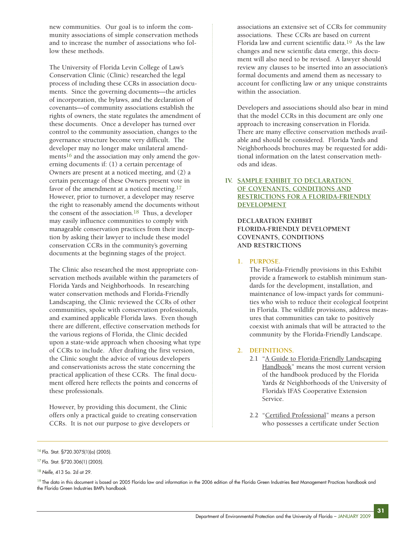new communities. Our goal is to inform the community associations of simple conservation methods and to increase the number of associations who follow these methods.

The University of Florida Levin College of Law's Conservation Clinic (Clinic) researched the legal process of including these CCRs in association documents. Since the governing documents—the articles of incorporation, the bylaws, and the declaration of covenants—of community associations establish the rights of owners, the state regulates the amendment of these documents. Once a developer has turned over control to the community association, changes to the governance structure become very difficult. The developer may no longer make unilateral amendments<sup>16</sup> and the association may only amend the governing documents if: (1) a certain percentage of Owners are present at a noticed meeting, and (2) a certain percentage of these Owners present vote in favor of the amendment at a noticed meeting.<sup>17</sup> However, prior to turnover, a developer may reserve the right to reasonably amend the documents without the consent of the association.<sup>18</sup> Thus, a developer may easily influence communities to comply with manageable conservation practices from their inception by asking their lawyer to include these model conservation CCRs in the community's governing documents at the beginning stages of the project.

The Clinic also researched the most appropriate conservation methods available within the parameters of Florida Yards and Neighborhoods. In researching water conservation methods and Florida-Friendly Landscaping, the Clinic reviewed the CCRs of other communities, spoke with conservation professionals, and examined applicable Florida laws. Even though there are different, effective conservation methods for the various regions of Florida, the Clinic decided upon a state-wide approach when choosing what type of CCRs to include. After drafting the first version, the Clinic sought the advice of various developers and conservationists across the state concerning the practical application of these CCRs. The final document offered here reflects the points and concerns of these professionals.

However, by providing this document, the Clinic offers only a practical guide to creating conservation CCRs. It is not our purpose to give developers or

associations an extensive set of CCRs for community associations. These CCRs are based on current Florida law and current scientific data.19 As the law changes and new scientific data emerge, this document will also need to be revised. A lawyer should review any clauses to be inserted into an association's formal documents and amend them as necessary to account for conflicting law or any unique constraints within the association.

Developers and associations should also bear in mind that the model CCRs in this document are only one approach to increasing conservation in Florida. There are many effective conservation methods available and should be considered. Florida Yards and Neighborhoods brochures may be requested for additional information on the latest conservation methods and ideas.

# **IV. SAMPLE EXHIBIT TO DECLARATION OF COVENANTS, CONDITIONS AND RESTRICTIONS FOR A FLORIDA-FRIENDLY DEVELOPMENT**

**DECLARATION EXHIBIT FLORIDA-FRIENDLY DEVELOPMENT COVENANTS, CONDITIONS AND RESTRICTIONS**

## **1. PURPOSE.**

The Florida-Friendly provisions in this Exhibit provide a framework to establish minimum standards for the development, installation, and maintenance of low-impact yards for communities who wish to reduce their ecological footprint in Florida. The wildlife provisions, address measures that communities can take to positively coexist with animals that will be attracted to the community by the Florida-Friendly Landscape.

## **2. DEFINITIONS.**

- 2.1 "A Guide to Florida-Friendly Landscaping Handbook" means the most current version of the handbook produced by the Florida Yards & Neighborhoods of the University of Florida's IFAS Cooperative Extension Service.
- 2.2 "Certified Professional" means a person who possesses a certificate under Section

<sup>16</sup> Fla. Stat. §720.3075(1)(a) (2005).

<sup>17</sup> Fla. Stat. §720.306(1) (2005).

<sup>18</sup>*Nelle*, 413 So. 2d at 29.

<sup>&</sup>lt;sup>19</sup> The data in this document is based on 2005 Florida law and information in the 2006 edition of the Florida Green Industries Best Management Practices handbook and the Florida Green Industries BMPs handbook.

**<sup>31</sup>**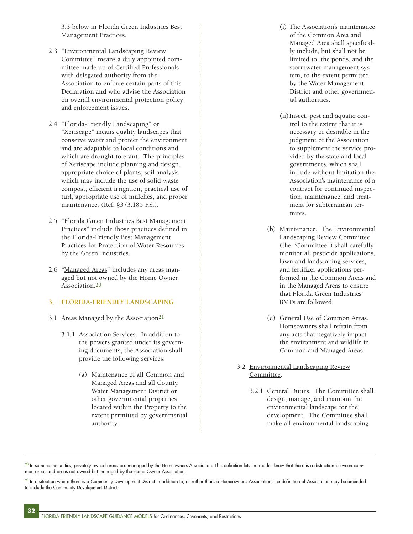3.3 below in Florida Green Industries Best Management Practices.

- 2.3 "Environmental Landscaping Review Committee" means a duly appointed committee made up of Certified Professionals with delegated authority from the Association to enforce certain parts of this Declaration and who advise the Association on overall environmental protection policy and enforcement issues.
- 2.4 "Florida-Friendly Landscaping" or "Xeriscape" means quality landscapes that conserve water and protect the environment and are adaptable to local conditions and which are drought tolerant. The principles of Xeriscape include planning and design, appropriate choice of plants, soil analysis which may include the use of solid waste compost, efficient irrigation, practical use of turf, appropriate use of mulches, and proper maintenance. (Ref. §373.185 F.S.).
- 2.5 "Florida Green Industries Best Management Practices" include those practices defined in the Florida-Friendly Best Management Practices for Protection of Water Resources by the Green Industries.
- 2.6 "Managed Areas" includes any areas managed but not owned by the Home Owner Association.20

#### **3. FLORIDA-FRIENDLY LANDSCAPING**

- 3.1 Areas Managed by the Association<sup>21</sup>
	- 3.1.1 Association Services. In addition to the powers granted under its governing documents, the Association shall provide the following services:
		- (a) Maintenance of all Common and Managed Areas and all County, Water Management District or other governmental properties located within the Property to the extent permitted by governmental authority.
- (i) The Association's maintenance of the Common Area and Managed Area shall specifically include, but shall not be limited to, the ponds, and the stormwater management system, to the extent permitted by the Water Management District and other governmental authorities.
- (ii)Insect, pest and aquatic control to the extent that it is necessary or desirable in the judgment of the Association to supplement the service provided by the state and local governments, which shall include without limitation the Association's maintenance of a contract for continued inspection, maintenance, and treatment for subterranean termites.
- (b) Maintenance. The Environmental Landscaping Review Committee (the "Committee") shall carefully monitor all pesticide applications, lawn and landscaping services, and fertilizer applications performed in the Common Areas and in the Managed Areas to ensure that Florida Green Industries' BMPs are followed.
- (c) General Use of Common Areas. Homeowners shall refrain from any acts that negatively impact the environment and wildlife in Common and Managed Areas.
- 3.2 Environmental Landscaping Review Committee.
	- 3.2.1 General Duties. The Committee shall design, manage, and maintain the environmental landscape for the development. The Committee shall make all environmental landscaping

 $^{20}$  In some communities, privately owned areas are managed by the Homeowners Association. This definition lets the reader know that there is a distinction between common areas and areas not owned but managed by the Home Owner Association.

<sup>21</sup> In a situation where there is a Community Development District in addition to, or rather than, a Homeowner's Association, the definition of Association may be amended to include the Community Development District.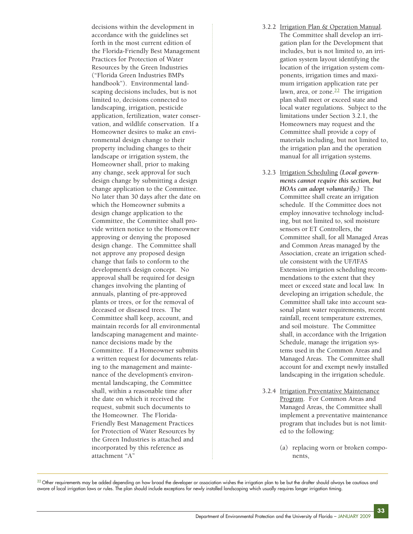decisions within the development in accordance with the guidelines set forth in the most current edition of the Florida-Friendly Best Management Practices for Protection of Water Resources by the Green Industries ("Florida Green Industries BMPs handbook"). Environmental landscaping decisions includes, but is not limited to, decisions connected to landscaping, irrigation, pesticide application, fertilization, water conservation, and wildlife conservation. If a Homeowner desires to make an environmental design change to their property including changes to their landscape or irrigation system, the Homeowner shall, prior to making any change, seek approval for such design change by submitting a design change application to the Committee. No later than 30 days after the date on which the Homeowner submits a design change application to the Committee, the Committee shall provide written notice to the Homeowner approving or denying the proposed design change. The Committee shall not approve any proposed design change that fails to conform to the development's design concept. No approval shall be required for design changes involving the planting of annuals, planting of pre-approved plants or trees, or for the removal of deceased or diseased trees. The Committee shall keep, account, and maintain records for all environmental landscaping management and maintenance decisions made by the Committee. If a Homeowner submits a written request for documents relating to the management and maintenance of the development's environmental landscaping, the Committee shall, within a reasonable time after the date on which it received the request, submit such documents to the Homeowner. The Florida-Friendly Best Management Practices for Protection of Water Resources by the Green Industries is attached and incorporated by this reference as attachment "A"

- 3.2.2 Irrigation Plan & Operation Manual. The Committee shall develop an irrigation plan for the Development that includes, but is not limited to, an irrigation system layout identifying the location of the irrigation system components, irrigation times and maximum irrigation application rate per lawn, area, or zone.<sup>22</sup> The irrigation plan shall meet or exceed state and local water regulations. Subject to the limitations under Section 3.2.1, the Homeowners may request and the Committee shall provide a copy of materials including, but not limited to, the irrigation plan and the operation manual for all irrigation systems.
- 3.2.3 Irrigation Scheduling *(Local governments cannot require this section, but HOAs can adopt voluntarily.)* The Committee shall create an irrigation schedule. If the Committee does not employ innovative technology including, but not limited to, soil moisture sensors or ET Controllers, the Committee shall, for all Managed Areas and Common Areas managed by the Association, create an irrigation schedule consistent with the UF/IFAS Extension irrigation scheduling recommendations to the extent that they meet or exceed state and local law. In developing an irrigation schedule, the Committee shall take into account seasonal plant water requirements, recent rainfall, recent temperature extremes, and soil moisture. The Committee shall, in accordance with the Irrigation Schedule, manage the irrigation systems used in the Common Areas and Managed Areas. The Committee shall account for and exempt newly installed landscaping in the irrigation schedule.
- 3.2.4 Irrigation Preventative Maintenance Program. For Common Areas and Managed Areas, the Committee shall implement a preventative maintenance program that includes but is not limited to the following:
	- (a) replacing worn or broken components,

 $^{22}$  Other requirements may be added depending on how broad the developer or association wishes the irrigation plan to be but the drafter should always be cautious and aware of local irrigation laws or rules. The plan should include exceptions for newly installed landscaping which usually requires longer irrigation timing.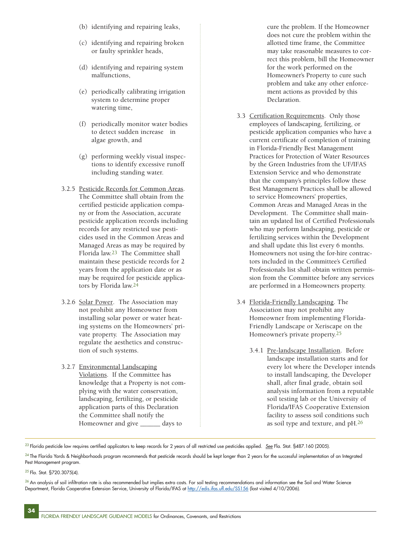- (b) identifying and repairing leaks,
- (c) identifying and repairing broken or faulty sprinkler heads,
- (d) identifying and repairing system malfunctions,
- (e) periodically calibrating irrigation system to determine proper watering time,
- (f) periodically monitor water bodies to detect sudden increase in algae growth, and
- (g) performing weekly visual inspections to identify excessive runoff including standing water.
- 3.2.5 Pesticide Records for Common Areas. The Committee shall obtain from the certified pesticide application company or from the Association, accurate pesticide application records including records for any restricted use pesticides used in the Common Areas and Managed Areas as may be required by Florida law.23 The Committee shall maintain these pesticide records for 2 years from the application date or as may be required for pesticide applicators by Florida law.24
- 3.2.6 Solar Power. The Association may not prohibit any Homeowner from installing solar power or water heating systems on the Homeowners' private property. The Association may regulate the aesthetics and construction of such systems.
- 3.2.7 Environmental Landscaping Violations. If the Committee has knowledge that a Property is not complying with the water conservation, landscaping, fertilizing, or pesticide application parts of this Declaration the Committee shall notify the Homeowner and give \_\_\_\_\_\_ days to

cure the problem. If the Homeowner does not cure the problem within the allotted time frame, the Committee may take reasonable measures to correct this problem, bill the Homeowner for the work performed on the Homeowner's Property to cure such problem and take any other enforcement actions as provided by this Declaration.

- 3.3 Certification Requirements. Only those employees of landscaping, fertilizing, or pesticide application companies who have a current certificate of completion of training in Florida-Friendly Best Management Practices for Protection of Water Resources by the Green Industries from the UF/IFAS Extension Service and who demonstrate that the company's principles follow these Best Management Practices shall be allowed to service Homeowners' properties, Common Areas and Managed Areas in the Development. The Committee shall maintain an updated list of Certified Professionals who may perform landscaping, pesticide or fertilizing services within the Development and shall update this list every 6 months. Homeowners not using the for-hire contractors included in the Committee's Certified Professionals list shall obtain written permission from the Committee before any services are performed in a Homeowners property.
- 3.4 Florida-Friendly Landscaping. The Association may not prohibit any Homeowner from implementing Florida-Friendly Landscape or Xeriscape on the Homeowner's private property.25
	- 3.4.1 Pre-landscape Installation. Before landscape installation starts and for every lot where the Developer intends to install landscaping, the Developer shall, after final grade, obtain soil analysis information from a reputable soil testing lab or the University of Florida/IFAS Cooperative Extension facility to assess soil conditions such as soil type and texture, and pH.26

23 Florida pesticide law requires certified applicators to keep records for 2 years of all restricted use pesticides applied. *See* Fla. Stat. §487.160 (2005).

25 Fla. Stat. §720.3075(4).

 $^{24}$  The Florida Yards & Neighborhoods program recommends that pesticide records should be kept longer than 2 years for the successful implementation of an Integrated Pest Management program.

 $^{26}$  An analysis of soil infiltration rate is also recommended but implies extra costs. For soil testing recommendations and information see the Soil and Water Science Department, Florida Cooperative Extension Service, University of Florida/IFAS at<http://edis.ifas.ufl.edu/SS156> (last visited 4/10/2006).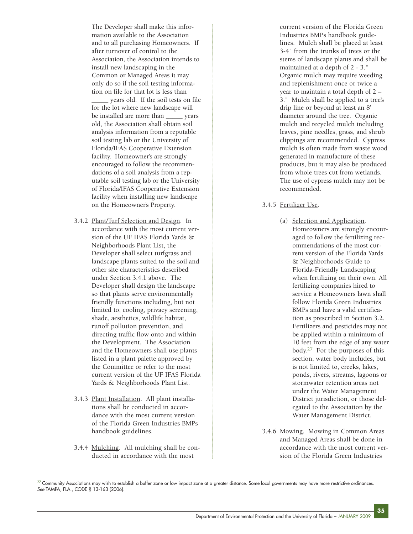The Developer shall make this information available to the Association and to all purchasing Homeowners. If after turnover of control to the Association, the Association intends to install new landscaping in the Common or Managed Areas it may only do so if the soil testing information on file for that lot is less than \_\_\_\_\_ years old. If the soil tests on file for the lot where new landscape will be installed are more than \_\_\_\_\_ years old, the Association shall obtain soil analysis information from a reputable soil testing lab or the University of Florida/IFAS Cooperative Extension facility. Homeowner's are strongly encouraged to follow the recommendations of a soil analysis from a reputable soil testing lab or the University of Florida/IFAS Cooperative Extension facility when installing new landscape on the Homeowner's Property.

- 3.4.2 Plant/Turf Selection and Design. In accordance with the most current version of the UF IFAS Florida Yards & Neighborhoods Plant List, the Developer shall select turfgrass and landscape plants suited to the soil and other site characteristics described under Section 3.4.1 above. The Developer shall design the landscape so that plants serve environmentally friendly functions including, but not limited to, cooling, privacy screening, shade, aesthetics, wildlife habitat, runoff pollution prevention, and directing traffic flow onto and within the Development. The Association and the Homeowners shall use plants listed in a plant palette approved by the Committee or refer to the most current version of the UF IFAS Florida Yards & Neighborhoods Plant List.
- 3.4.3 Plant Installation. All plant installations shall be conducted in accordance with the most current version of the Florida Green Industries BMPs handbook guidelines.
- 3.4.4 Mulching. All mulching shall be conducted in accordance with the most

current version of the Florida Green Industries BMPs handbook guidelines. Mulch shall be placed at least 3-4" from the trunks of trees or the stems of landscape plants and shall be maintained at a depth of 2 - 3." Organic mulch may require weeding and replenishment once or twice a year to maintain a total depth of 2 – 3." Mulch shall be applied to a tree's drip line or beyond at least an 8' diameter around the tree. Organic mulch and recycled mulch including leaves, pine needles, grass, and shrub clippings are recommended. Cypress mulch is often made from waste wood generated in manufacture of these products, but it may also be produced from whole trees cut from wetlands. The use of cypress mulch may not be recommended.

## 3.4.5 Fertilizer Use.

- (a) Selection and Application. Homeowners are strongly encouraged to follow the fertilizing recommendations of the most current version of the Florida Yards & Neighborhoods Guide to Florida-Friendly Landscaping when fertilizing on their own. All fertilizing companies hired to service a Homeowners lawn shall follow Florida Green Industries BMPs and have a valid certification as prescribed in Section 3.2. Fertilizers and pesticides may not be applied within a minimum of 10 feet from the edge of any water body.27 For the purposes of this section, water body includes, but is not limited to, creeks, lakes, ponds, rivers, streams, lagoons or stormwater retention areas not under the Water Management District jurisdiction, or those delegated to the Association by the Water Management District.
- 3.4.6 Mowing. Mowing in Common Areas and Managed Areas shall be done in accordance with the most current version of the Florida Green Industries

 $^{27}$  Community Associations may wish to establish a buffer zone or low impact zone at a greater distance. Some local governments may have more restrictive ordinances. *See* TAMPA, FLA., CODE § 13-163 (2006).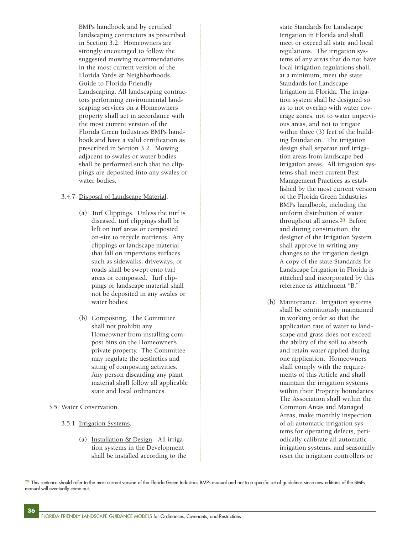BMPs handbook and by certified landscaping contractors as prescribed in Section 3.2. Homeowners are strongly encouraged to follow the suggested mowing recommendations in the most current version of the Florida Yards & Neighborhoods Guide to Florida-Friendly Landscaping. All landscaping contractors performing environmental landscaping services on a Homeowners property shall act in accordance with the most current version of the Florida Green Industries BMPs handbook and have a valid certification as prescribed in Section 3.2. Mowing adjacent to swales or water bodies shall be performed such that no clippings are deposited into any swales or water bodies.

# 3.4.7 Disposal of Landscape Material.

- (a) Turf Clippings. Unless the turf is diseased, turf clippings shall be left on turf areas or composted on-site to recycle nutrients. Any clippings or landscape material that fall on impervious surfaces such as sidewalks, driveways, or roads shall be swept onto turf areas or composted. Turf clippings or landscape material shall not be deposited in any swales or water bodies.
- (b) Composting. The Committee shall not prohibit any Homeowner from installing compost bins on the Homeowner's private property. The Committee may regulate the aesthetics and siting of composting activities. Any person discarding any plant material shall follow all applicable state and local ordinances.
- 3.5 Water Conservation.

**36**

- 3.5.1 Irrigation Systems.
	- (a) Installation & Design. All irrigation systems in the Development shall be installed according to the

state Standards for Landscape Irrigation in Florida and shall meet or exceed all state and local regulations. The irrigation systems of any areas that do not have local irrigation regulations shall, at a minimum, meet the state Standards for Landscape Irrigation in Florida. The irrigation system shall be designed so as to not overlap with water coverage zones, not to water impervious areas, and not to irrigate within three (3) feet of the building foundation. The irrigation design shall separate turf irrigation areas from landscape bed irrigation areas. All irrigation systems shall meet current Best Management Practices as established by the most current version of the Florida Green Industries BMPs handbook, including the uniform distribution of water throughout all zones.28 Before and during construction, the designer of the Irrigation System shall approve in writing any changes to the irrigation design. A copy of the state Standards for Landscape Irrigation in Florida is attached and incorporated by this reference as attachment "B."

(b) Maintenance. Irrigation systems shall be continuously maintained in working order so that the application rate of water to landscape and grass does not exceed the ability of the soil to absorb and retain water applied during one application. Homeowners shall comply with the requirements of this Article and shall maintain the irrigation systems within their Property boundaries. The Association shall within the Common Areas and Managed Areas, make monthly inspection of all automatic irrigation systems for operating defects, periodically calibrate all automatic irrigation systems, and seasonally reset the irrigation controllers or

 $^{28}$  This sentence should refer to the most current version of the Florida Green Industries BMPs manual and not to a specific set of guidelines since new editions of the BMPs manual will eventually come out.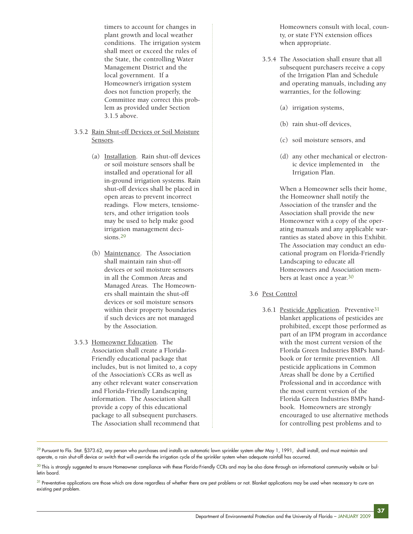timers to account for changes in plant growth and local weather conditions. The irrigation system shall meet or exceed the rules of the State, the controlling Water Management District and the local government. If a Homeowner's irrigation system does not function properly, the Committee may correct this problem as provided under Section 3.1.5 above.

- 3.5.2 Rain Shut-off Devices or Soil Moisture Sensors.
	- (a) Installation. Rain shut-off devices or soil moisture sensors shall be installed and operational for all in-ground irrigation systems. Rain shut-off devices shall be placed in open areas to prevent incorrect readings. Flow meters, tensiometers, and other irrigation tools may be used to help make good irrigation management decisions.29
	- (b) Maintenance. The Association shall maintain rain shut-off devices or soil moisture sensors in all the Common Areas and Managed Areas. The Homeowners shall maintain the shut-off devices or soil moisture sensors within their property boundaries if such devices are not managed by the Association.
- 3.5.3 Homeowner Education. The Association shall create a Florida-Friendly educational package that includes, but is not limited to, a copy of the Association's CCRs as well as any other relevant water conservation and Florida-Friendly Landscaping information. The Association shall provide a copy of this educational package to all subsequent purchasers. The Association shall recommend that

Homeowners consult with local, county, or state FYN extension offices when appropriate.

- 3.5.4 The Association shall ensure that all subsequent purchasers receive a copy of the Irrigation Plan and Schedule and operating manuals, including any warranties, for the following:
	- (a) irrigation systems,
	- (b) rain shut-off devices,
	- (c) soil moisture sensors, and
	- (d) any other mechanical or electronic device implemented in the Irrigation Plan.

When a Homeowner sells their home, the Homeowner shall notify the Association of the transfer and the Association shall provide the new Homeowner with a copy of the operating manuals and any applicable warranties as stated above in this Exhibit. The Association may conduct an educational program on Florida-Friendly Landscaping to educate all Homeowners and Association members at least once a year.30

# 3.6 Pest Control

3.6.1 Pesticide Application. Preventive31 blanket applications of pesticides are prohibited, except those performed as part of an IPM program in accordance with the most current version of the Florida Green Industries BMPs handbook or for termite prevention. All pesticide applications in Common Areas shall be done by a Certified Professional and in accordance with the most current version of the Florida Green Industries BMPs handbook. Homeowners are strongly encouraged to use alternative methods for controlling pest problems and to

 $^{29}$  Pursuant to Fla. Stat. §373.62, any person who purchases and installs an automatic lawn sprinkler system after May 1, 1991, shall install, and must maintain and operate, a rain shut-off device or switch that will override the irrigation cycle of the sprinkler system when adequate rainfall has occurred.

<sup>&</sup>lt;sup>30</sup> This is strongly suggested to ensure Homeowner compliance with these Florida-Friendly CCRs and may be also done through an informational community website or bulletin board.

 $31$  Preventative applications are those which are done regardless of whether there are pest problems or not. Blanket applications may be used when necessary to cure an existing pest problem.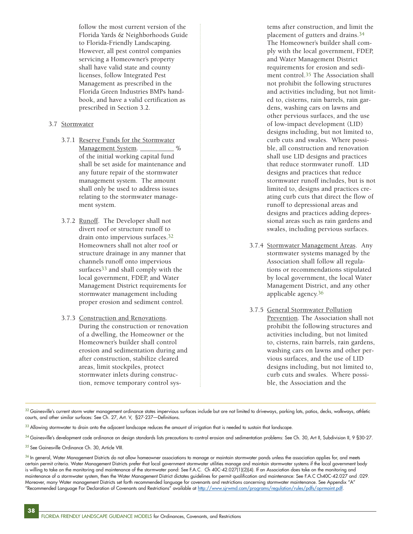follow the most current version of the Florida Yards & Neighborhoods Guide to Florida-Friendly Landscaping. However, all pest control companies servicing a Homeowner's property shall have valid state and county licenses, follow Integrated Pest Management as prescribed in the Florida Green Industries BMPs handbook, and have a valid certification as prescribed in Section 3.2.

### 3.7 Stormwater

- 3.7.1 Reserve Funds for the Stormwater Management System. \_\_\_\_\_\_\_\_\_ % of the initial working capital fund shall be set aside for maintenance and any future repair of the stormwater management system. The amount shall only be used to address issues relating to the stormwater management system.
- 3.7.2 Runoff. The Developer shall not divert roof or structure runoff to drain onto impervious surfaces.32 Homeowners shall not alter roof or structure drainage in any manner that channels runoff onto impervious surfaces<sup>33</sup> and shall comply with the local government, FDEP, and Water Management District requirements for stormwater management including proper erosion and sediment control.
- 3.7.3 Construction and Renovations. During the construction or renovation of a dwelling, the Homeowner or the Homeowner's builder shall control erosion and sedimentation during and after construction, stabilize cleared areas, limit stockpiles, protect stormwater inlets during construction, remove temporary control sys-

tems after construction, and limit the placement of gutters and drains.34 The Homeowner's builder shall comply with the local government, FDEP, and Water Management District requirements for erosion and sediment control.<sup>35</sup> The Association shall not prohibit the following structures and activities including, but not limited to, cisterns, rain barrels, rain gardens, washing cars on lawns and other pervious surfaces, and the use of low-impact development (LID) designs including, but not limited to, curb cuts and swales. Where possible, all construction and renovation shall use LID designs and practices that reduce stormwater runoff. LID designs and practices that reduce stormwater runoff includes, but is not limited to, designs and practices creating curb cuts that direct the flow of runoff to depressional areas and designs and practices adding depressional areas such as rain gardens and swales, including pervious surfaces.

- 3.7.4 Stormwater Management Areas. Any stormwater systems managed by the Association shall follow all regulations or recommendations stipulated by local government, the local Water Management District, and any other applicable agency.36
- 3.7.5 General Stormwater Pollution Prevention. The Association shall not prohibit the following structures and activities including, but not limited to, cisterns, rain barrels, rain gardens, washing cars on lawns and other pervious surfaces, and the use of LID designs including, but not limited to, curb cuts and swales. Where possible, the Association and the

 $^{32}$  Gainesville's current storm water management ordinance states impervious surfaces include but are not limited to driveways, parking lots, patios, decks, walkways, athletic courts, and other similar surfaces: See Ch. 27, Art. V, §27-237—Definitions.

 $33$  Allowing stormwater to drain onto the adjacent landscape reduces the amount of irrigation that is needed to sustain that landscape.

34 Gainesville's development code ordinance on design standards lists precautions to control erosion and sedimentation problems: See Ch. 30, Art II, Subdivision II, 9 §30-27.

35 See Gainesville Ordinance Ch. 30, Article VIII.

 $36$  In general, Water Management Districts do not allow homeowner associations to manage or maintain stormwater ponds unless the association applies for, and meets certain permit criteria. Water Management Districts prefer that local government stormwater utilities manage and maintain stormwater systems if the local government body is willing to take on the monitoring and maintenance of the stormwater pond: See F.A.C. Ch 40C-42.027(1)(2)(4). If an Association does take on the monitoring and maintenance of a stormwater system, then the Water Management District dictates guidelines for permit qualification and maintenance: See F.A.C Ch40C-42.027 and .029. Moreover, many Water management Districts set forth recommended language for covenants and restrictions concerning stormwater maintenance. See Appendix "A" "Recommended Language For Declaration of Covenants and Restrictions" available at [http://www.sjrwmd.com/programs/regulation/rules/pdfs/oprmaint.pdf.](http://www.sjrwmd.com/programs/regulation/rules/pdfs/oprmaint.pdf)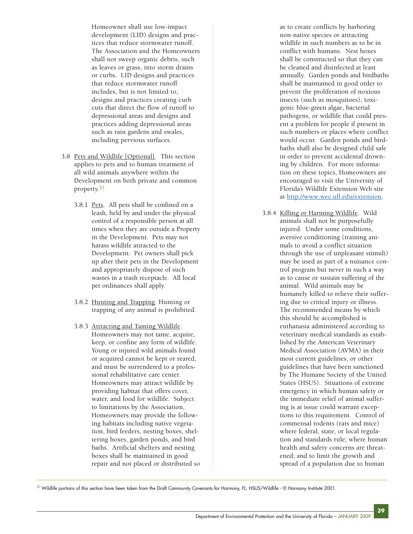Homeowner shall use low-impact development (LID) designs and practices that reduce stormwater runoff. The Association and the Homeowners shall not sweep organic debris, such as leaves or grass, into storm drains or curbs. LID designs and practices that reduce stormwater runoff includes, but is not limited to, designs and practices creating curb cuts that direct the flow of runoff to depressional areas and designs and practices adding depressional areas such as rain gardens and swales, including pervious surfaces.

- 3.8 Pets and Wildlife [Optional]. This section applies to pets and to human treatment of all wild animals anywhere within the Development on both private and common property.37
	- 3.8.1 Pets. All pets shall be confined on a leash, held by and under the physical control of a responsible person at all times when they are outside a Property in the Development. Pets may not harass wildlife attracted to the Development. Pet owners shall pick up after their pets in the Development and appropriately dispose of such wastes in a trash receptacle. All local pet ordinances shall apply.
	- 3.8.2 Hunting and Trapping. Hunting or trapping of any animal is prohibited.
	- 3.8.3 Attracting and Taming Wildlife. Homeowners may not tame, acquire, keep, or confine any form of wildlife. Young or injured wild animals found or acquired cannot be kept or reared, and must be surrendered to a professional rehabilitative care center. Homeowners may attract wildlife by providing habitat that offers cover, water, and food for wildlife. Subject to limitations by the Association, Homeowners may provide the following habitats including native vegetation, bird feeders, nesting boxes, sheltering boxes, garden ponds, and bird baths. Artificial shelters and nesting boxes shall be maintained in good repair and not placed or distributed so

as to create conflicts by harboring non-native species or attracting wildlife in such numbers as to be in conflict with humans. Nest boxes shall be constructed so that they can be cleaned and disinfected at least annually. Garden ponds and birdbaths shall be maintained in good order to prevent the proliferation of noxious insects (such as mosquitoes), toxigenic blue-green algae, bacterial pathogens, or wildlife that could present a problem for people if present in such numbers or places where conflict would occur. Garden ponds and birdbaths shall also be designed child safe in order to prevent accidental drowning by children. For more information on these topics, Homeowners are encouraged to visit the University of Florida's Wildlife Extension Web site at [http://www.wec.ufl.edu/extension.](http://www.wec.ufl.edu/extension)

3.8.4 Killing or Harming Wildlife. Wild animals shall not be purposefully injured. Under some conditions, aversive conditioning (training animals to avoid a conflict situation through the use of unpleasant stimuli) may be used as part of a nuisance control program but never in such a way as to cause or sustain suffering of the animal. Wild animals may be humanely killed to relieve their suffering due to critical injury or illness. The recommended means by which this should be accomplished is euthanasia administered according to veterinary medical standards as established by the American Veterinary Medical Association (AVMA) in their most current guidelines, or other guidelines that have been sanctioned by The Humane Society of the United States (HSUS). Situations of extreme emergency in which human safety or the immediate relief of animal suffering is at issue could warrant exceptions to this requirement. Control of commensal rodents (rats and mice) where federal, state, or local regulation and standards rule; where human health and safety concerns are threatened; and to limit the growth and spread of a population due to human

 $^{37}$  Wildlife portions of this section have been taken from the Draft Community Covenants for Harmony, FL. HSUS/Wildlife.- © Harmony Institute 2001.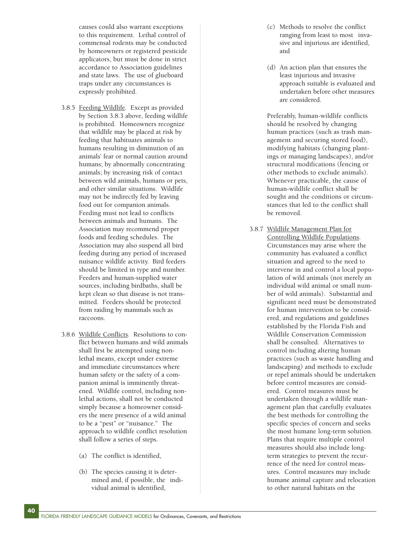causes could also warrant exceptions to this requirement. Lethal control of commensal rodents may be conducted by homeowners or registered pesticide applicators, but must be done in strict accordance to Association guidelines and state laws. The use of glueboard traps under any circumstances is expressly prohibited.

- 3.8.5 Feeding Wildlife. Except as provided by Section 3.8.3 above, feeding wildlife is prohibited. Homeowners recognize that wildlife may be placed at risk by feeding that habituates animals to humans resulting in diminution of an animals' fear or normal caution around humans; by abnormally concentrating animals; by increasing risk of contact between wild animals, humans or pets, and other similar situations. Wildlife may not be indirectly fed by leaving food out for companion animals. Feeding must not lead to conflicts between animals and humans. The Association may recommend proper foods and feeding schedules. The Association may also suspend all bird feeding during any period of increased nuisance wildlife activity. Bird feeders should be limited in type and number. Feeders and human-supplied water sources, including birdbaths, shall be kept clean so that disease is not transmitted. Feeders should be protected from raiding by mammals such as raccoons.
- 3.8.6 Wildlife Conflicts. Resolutions to conflict between humans and wild animals shall first be attempted using nonlethal means, except under extreme and immediate circumstances where human safety or the safety of a companion animal is imminently threatened. Wildlife control, including nonlethal actions, shall not be conducted simply because a homeowner considers the mere presence of a wild animal to be a "pest" or "nuisance." The approach to wildlife conflict resolution shall follow a series of steps.
	- (a) The conflict is identified,

**40**

(b) The species causing it is determined and, if possible, the individual animal is identified,

- (c) Methods to resolve the conflict ranging from least to most invasive and injurious are identified, and
- (d) An action plan that ensures the least injurious and invasive approach suitable is evaluated and undertaken before other measures are considered.

Preferably, human-wildlife conflicts should be resolved by changing human practices (such as trash management and securing stored food), modifying habitats (changing plantings or managing landscapes), and/or structural modifications (fencing or other methods to exclude animals). Whenever practicable, the cause of human-wildlife conflict shall be sought and the conditions or circumstances that led to the conflict shall be removed.

3.8.7 Wildlife Management Plan for Controlling Wildlife Populations. Circumstances may arise where the community has evaluated a conflict situation and agreed to the need to intervene in and control a local population of wild animals (not merely an individual wild animal or small number of wild animals). Substantial and significant need must be demonstrated for human intervention to be considered, and regulations and guidelines established by the Florida Fish and Wildlife Conservation Commission shall be consulted. Alternatives to control including altering human practices (such as waste handling and landscaping) and methods to exclude or repel animals should be undertaken before control measures are considered. Control measures must be undertaken through a wildlife management plan that carefully evaluates the best methods for controlling the specific species of concern and seeks the most humane long-term solution. Plans that require multiple control measures should also include longterm strategies to prevent the recurrence of the need for control measures. Control measures may include humane animal capture and relocation to other natural habitats on the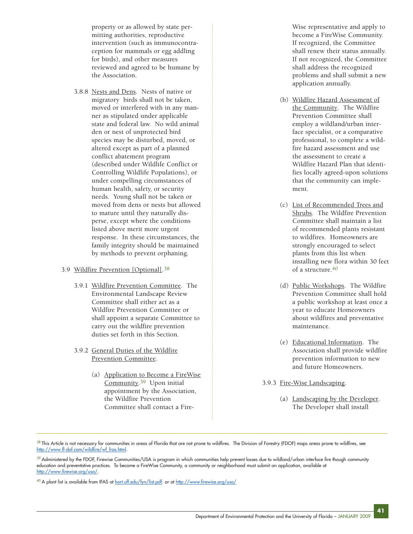property or as allowed by state permitting authorities, reproductive intervention (such as immunocontraception for mammals or egg addling for birds), and other measures reviewed and agreed to be humane by the Association.

3.8.8 Nests and Dens. Nests of native or migratory birds shall not be taken, moved or interfered with in any manner as stipulated under applicable state and federal law. No wild animal den or nest of unprotected bird species may be disturbed, moved, or altered except as part of a planned conflict abatement program (described under Wildlife Conflict or Controlling Wildlife Populations), or under compelling circumstances of human health, safety, or security needs. Young shall not be taken or moved from dens or nests but allowed to mature until they naturally disperse, except where the conditions listed above merit more urgent response. In these circumstances, the family integrity should be maintained by methods to prevent orphaning.

## 3.9 Wildfire Prevention [Optional].38

- 3.9.1 Wildfire Prevention Committee. The Environmental Landscape Review Committee shall either act as a Wildfire Prevention Committee or shall appoint a separate Committee to carry out the wildfire prevention duties set forth in this Section.
- 3.9.2 General Duties of the Wildfire Prevention Committee.
	- (a) Application to Become a FireWise Community.39 Upon initial appointment by the Association, the Wildfire Prevention Committee shall contact a Fire-

Wise representative and apply to become a FireWise Community. If recognized, the Committee shall renew their status annually. If not recognized, the Committee shall address the recognized problems and shall submit a new application annually.

- (b) Wildfire Hazard Assessment of the Community. The Wildfire Prevention Committee shall employ a wildland/urban interface specialist, or a comparative professional, to complete a wildfire hazard assessment and use the assessment to create a Wildfire Hazard Plan that identifies locally agreed-upon solutions that the community can implement.
- (c) List of Recommended Trees and Shrubs. The Wildfire Prevention Committee shall maintain a list of recommended plants resistant to wildfires. Homeowners are strongly encouraged to select plants from this list when installing new flora within 30 feet of a structure  $40$
- (d) Public Workshops. The Wildfire Prevention Committee shall hold a public workshop at least once a year to educate Homeowners about wildfires and preventative maintenance.
- (e) Educational Information. The Association shall provide wildfire prevention information to new and future Homeowners.
- 3.9.3 Fire-Wise Landscaping.
	- (a) Landscaping by the Developer. The Developer shall install

 $38$  This Article is not necessary for communities in areas of Florida that are not prone to wildfires. The Division of Forestry (FDOF) maps areas prone to wildfires, see [http://www.fl-dof.com/wildfire/wf\\_fras.html.](http://www.fl-dof.com/wildfire/wf_fras.html)

 $39$  Administered by the FDOF, Firewise Communities/USA is program in which communities help prevent losses due to wildland/urban interface fire though community education and preventative practices. To become a FireWise Community, a community or neighborhood must submit an application, available at [http://www.firewise.org/usa/.](http://www.firewise.org/usa/)

<sup>&</sup>lt;sup>40</sup> A plant list is available from IFAS at <u>hort.ufl.edu/fyn/list.pdf</u>. or at<http://www.firewise.org/usa/>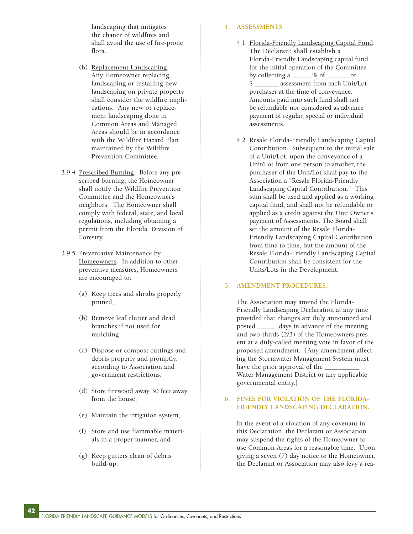landscaping that mitigates the chance of wildfires and shall avoid the use of fire-prone flora.

- (b) Replacement Landscaping. Any Homeowner replacing landscaping or installing new landscaping on private property shall consider the wildfire implications. Any new or replacement landscaping done in Common Areas and Managed Areas should be in accordance with the Wildfire Hazard Plan maintained by the Wildfire Prevention Committee.
- 3.9.4 Prescribed Burning. Before any prescribed burning, the Homeowner shall notify the Wildfire Prevention Committee and the Homeowner's neighbors. The Homeowner shall comply with federal, state, and local regulations, including obtaining a permit from the Florida Division of Forestry.
- 3.9.5 Preventative Maintenance by Homeowners. In addition to other preventive measures, Homeowners are encouraged to:
	- (a) Keep trees and shrubs properly pruned,
	- (b) Remove leaf clutter and dead branches if not used for mulching
	- (c) Dispose or compost cuttings and debris properly and promptly, according to Association and government restrictions,
	- (d) Store firewood away 30 feet away from the house,
	- (e) Maintain the irrigation system,
	- (f) Store and use flammable materials in a proper manner, and
	- (g) Keep gutters clean of debris build-up.

### **4. ASSESSMENTS**

- 4.1 Florida-Friendly Landscaping Capital Fund. The Declarant shall establish a Florida-Friendly Landscaping capital fund for the initial operation of the Committee by collecting a  $\_\_\_\%$  of  $\_\_\_\$  or \$ \_\_\_\_\_\_\_ assessment from each Unit/Lot purchaser at the time of conveyance. Amounts paid into such fund shall not be refundable nor considered as advance payment of regular, special or individual assessments.
- 4.2 Resale Florida-Friendly Landscaping Capital Contribution. Subsequent to the initial sale of a Unit/Lot, upon the conveyance of a Unit/Lot from one person to another, the purchaser of the Unit/Lot shall pay to the Association a "Resale Florida-Friendly Landscaping Capital Contribution." This sum shall be used and applied as a working capital fund, and shall not be refundable or applied as a credit against the Unit Owner's payment of Assessments. The Board shall set the amount of the Resale Florida-Friendly Landscaping Capital Contribution from time to time, but the amount of the Resale Florida-Friendly Landscaping Capital Contribution shall be consistent for the Units/Lots in the Development.

### **5. AMENDMENT PROCEDURES.**

The Association may amend the Florida-Friendly Landscaping Declaration at any time provided that changes are duly announced and posted \_\_\_\_\_ days in advance of the meeting, and two-thirds (2/3) of the Homeowners present at a duly-called meeting vote in favor of the proposed amendment. [Any amendment affecting the Stormwater Management System must have the prior approval of the Water Management District or any applicable governmental entity.]

## **6. FINES FOR VIOLATION OF THE FLORIDA-FRIENDLY LANDSCAPING DECLARATION.**

In the event of a violation of any covenant in this Declaration, the Declarant or Association may suspend the rights of the Homeowner to use Common Areas for a reasonable time. Upon giving a seven (7) day notice to the Homeowner, the Declarant or Association may also levy a rea-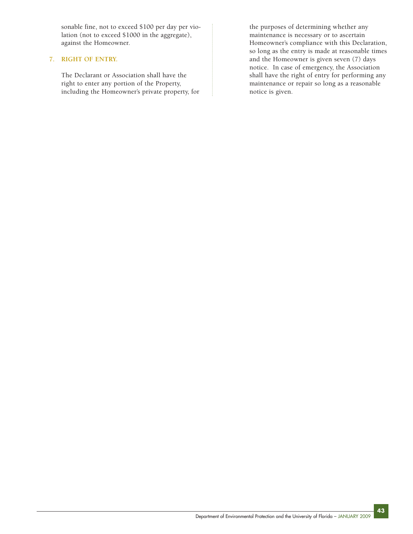sonable fine, not to exceed \$100 per day per violation (not to exceed \$1000 in the aggregate), against the Homeowner.

## **7. RIGHT OF ENTRY.**

The Declarant or Association shall have the right to enter any portion of the Property, including the Homeowner's private property, for

the purposes of determining whether any maintenance is necessary or to ascertain Homeowner's compliance with this Declaration, so long as the entry is made at reasonable times and the Homeowner is given seven (7) days notice. In case of emergency, the Association shall have the right of entry for performing any maintenance or repair so long as a reasonable notice is given.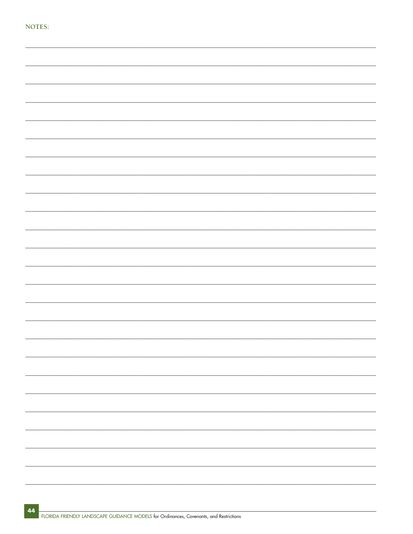| M.<br>٧ |  | × | ٧ |  |
|---------|--|---|---|--|

|  |  | $\frac{1}{1}$            |
|--|--|--------------------------|
|  |  |                          |
|  |  |                          |
|  |  |                          |
|  |  |                          |
|  |  |                          |
|  |  |                          |
|  |  |                          |
|  |  |                          |
|  |  |                          |
|  |  |                          |
|  |  |                          |
|  |  | $\overline{\phantom{0}}$ |
|  |  |                          |
|  |  |                          |
|  |  |                          |
|  |  |                          |
|  |  |                          |
|  |  |                          |
|  |  |                          |
|  |  |                          |
|  |  |                          |
|  |  |                          |
|  |  |                          |
|  |  |                          |
|  |  |                          |
|  |  |                          |
|  |  |                          |
|  |  |                          |
|  |  |                          |
|  |  |                          |
|  |  |                          |
|  |  |                          |
|  |  |                          |
|  |  |                          |
|  |  |                          |
|  |  |                          |
|  |  |                          |
|  |  |                          |
|  |  |                          |
|  |  |                          |
|  |  | ÷                        |
|  |  |                          |
|  |  |                          |
|  |  |                          |
|  |  |                          |
|  |  |                          |
|  |  |                          |
|  |  |                          |
|  |  |                          |
|  |  |                          |
|  |  |                          |
|  |  |                          |
|  |  |                          |
|  |  |                          |
|  |  |                          |
|  |  |                          |
|  |  |                          |
|  |  |                          |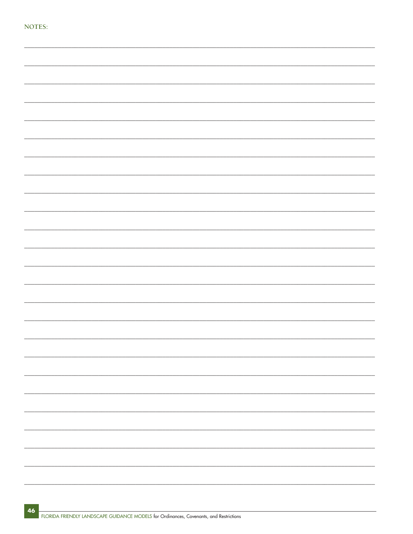| ı |  | r |  |
|---|--|---|--|

|  |  | - |
|--|--|---|
|  |  |   |
|  |  | — |
|  |  |   |
|  |  |   |
|  |  |   |
|  |  |   |
|  |  |   |